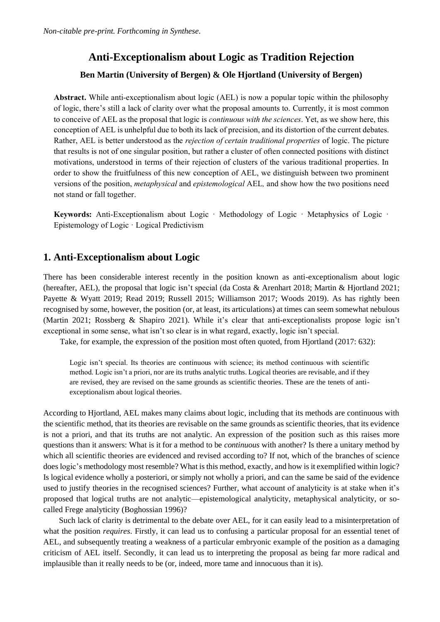# **Anti-Exceptionalism about Logic as Tradition Rejection**

### **Ben Martin (University of Bergen) & Ole Hjortland (University of Bergen)**

**Abstract.** While anti-exceptionalism about logic (AEL) is now a popular topic within the philosophy of logic, there's still a lack of clarity over what the proposal amounts to. Currently, it is most common to conceive of AEL as the proposal that logic is *continuous with the sciences*. Yet, as we show here, this conception of AEL is unhelpful due to both its lack of precision, and its distortion of the current debates. Rather, AEL is better understood as the *rejection of certain traditional properties* of logic. The picture that results is not of one singular position, but rather a cluster of often connected positions with distinct motivations, understood in terms of their rejection of clusters of the various traditional properties. In order to show the fruitfulness of this new conception of AEL, we distinguish between two prominent versions of the position, *metaphysical* and *epistemological* AEL*,* and show how the two positions need not stand or fall together.

**Keywords:** Anti-Exceptionalism about Logic · Methodology of Logic · Metaphysics of Logic · Epistemology of Logic · Logical Predictivism

## **1. Anti-Exceptionalism about Logic**

There has been considerable interest recently in the position known as anti-exceptionalism about logic (hereafter, AEL), the proposal that logic isn't special (da Costa & Arenhart 2018; Martin & Hjortland 2021; Payette & Wyatt 2019; Read 2019; Russell 2015; Williamson 2017; Woods 2019). As has rightly been recognised by some, however, the position (or, at least, its articulations) at times can seem somewhat nebulous (Martin 2021; Rossberg & Shapiro 2021). While it's clear that anti-exceptionalists propose logic isn't exceptional in some sense, what isn't so clear is in what regard, exactly, logic isn't special.

Take, for example, the expression of the position most often quoted, from Hjortland (2017: 632):

Logic isn't special. Its theories are continuous with science; its method continuous with scientific method. Logic isn't a priori, nor are its truths analytic truths. Logical theories are revisable, and if they are revised, they are revised on the same grounds as scientific theories. These are the tenets of antiexceptionalism about logical theories.

According to Hjortland, AEL makes many claims about logic, including that its methods are continuous with the scientific method, that its theories are revisable on the same grounds as scientific theories, that its evidence is not a priori, and that its truths are not analytic. An expression of the position such as this raises more questions than it answers: What is it for a method to be *continuous* with another? Is there a unitary method by which all scientific theories are evidenced and revised according to? If not, which of the branches of science does logic's methodology most resemble? What is this method, exactly, and how is it exemplified within logic? Is logical evidence wholly a posteriori, or simply not wholly a priori, and can the same be said of the evidence used to justify theories in the recognised sciences? Further, what account of analyticity is at stake when it's proposed that logical truths are not analytic—epistemological analyticity, metaphysical analyticity, or socalled Frege analyticity (Boghossian 1996)?

Such lack of clarity is detrimental to the debate over AEL, for it can easily lead to a misinterpretation of what the position *requires*. Firstly, it can lead us to confusing a particular proposal for an essential tenet of AEL, and subsequently treating a weakness of a particular embryonic example of the position as a damaging criticism of AEL itself. Secondly, it can lead us to interpreting the proposal as being far more radical and implausible than it really needs to be (or, indeed, more tame and innocuous than it is).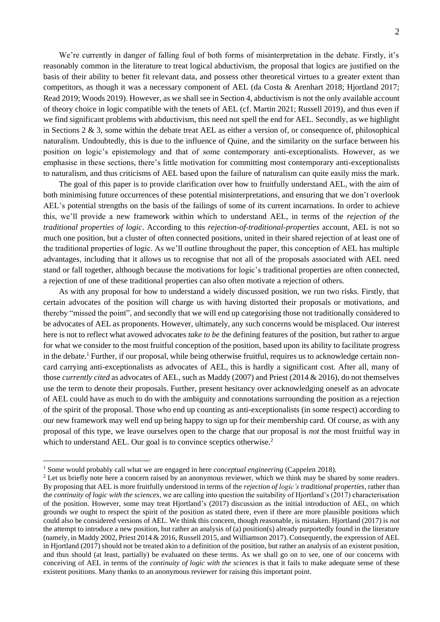We're currently in danger of falling foul of both forms of misinterpretation in the debate. Firstly, it's reasonably common in the literature to treat logical abductivism, the proposal that logics are justified on the basis of their ability to better fit relevant data, and possess other theoretical virtues to a greater extent than competitors, as though it was a necessary component of AEL (da Costa & Arenhart 2018; Hjortland 2017; Read 2019; Woods 2019). However, as we shall see in Section 4, abductivism is not the only available account of theory choice in logic compatible with the tenets of AEL (cf. Martin 2021; Russell 2019), and thus even if we find significant problems with abductivism, this need not spell the end for AEL. Secondly, as we highlight in Sections 2 & 3, some within the debate treat AEL as either a version of, or consequence of, philosophical naturalism. Undoubtedly, this is due to the influence of Quine, and the similarity on the surface between his position on logic's epistemology and that of some contemporary anti-exceptionalists. However, as we emphasise in these sections, there's little motivation for committing most contemporary anti-exceptionalists to naturalism, and thus criticisms of AEL based upon the failure of naturalism can quite easily miss the mark.

The goal of this paper is to provide clarification over how to fruitfully understand AEL, with the aim of both minimising future occurrences of these potential misinterpretations, and ensuring that we don't overlook AEL's potential strengths on the basis of the failings of some of its current incarnations. In order to achieve this, we'll provide a new framework within which to understand AEL, in terms of the *rejection of the traditional properties of logic*. According to this *rejection-of-traditional-properties* account, AEL is not so much one position, but a cluster of often connected positions, united in their shared rejection of at least one of the traditional properties of logic. As we'll outline throughout the paper, this conception of AEL has multiple advantages, including that it allows us to recognise that not all of the proposals associated with AEL need stand or fall together, although because the motivations for logic's traditional properties are often connected, a rejection of one of these traditional properties can also often motivate a rejection of others.

As with any proposal for how to understand a widely discussed position, we run two risks. Firstly, that certain advocates of the position will charge us with having distorted their proposals or motivations, and thereby "missed the point", and secondly that we will end up categorising those not traditionally considered to be advocates of AEL as proponents. However, ultimately, any such concerns would be misplaced. Our interest here is not to reflect what avowed advocates *take to be* the defining features of the position, but rather to argue for what we consider to the most fruitful conception of the position, based upon its ability to facilitate progress in the debate. <sup>1</sup> Further, if our proposal, while being otherwise fruitful, requires us to acknowledge certain noncard carrying anti-exceptionalists as advocates of AEL, this is hardly a significant cost. After all, many of those *currently cited* as advocates of AEL, such as Maddy (2007) and Priest (2014 & 2016), do not themselves use the term to denote their proposals. Further, present hesitancy over acknowledging oneself as an advocate of AEL could have as much to do with the ambiguity and connotations surrounding the position as a rejection of the spirit of the proposal. Those who end up counting as anti-exceptionalists (in some respect) according to our new framework may well end up being happy to sign up for their membership card. Of course, as with any proposal of this type, we leave ourselves open to the charge that our proposal is *not* the most fruitful way in which to understand AEL. Our goal is to convince sceptics otherwise.<sup>2</sup>

<sup>&</sup>lt;sup>1</sup> Some would probably call what we are engaged in here *conceptual engineering* (Cappelen 2018).

<sup>&</sup>lt;sup>2</sup> Let us briefly note here a concern raised by an anonymous reviewer, which we think may be shared by some readers. By proposing that AEL is more fruitfully understood in terms of the *rejection of logic's traditional properties*, rather than the *continuity of logic with the sciences*, we are calling into question the suitability of Hjortland's (2017) characterisation of the position. However, some may treat Hjortland's (2017) discussion as the initial introduction of AEL, on which grounds we ought to respect the spirit of the position as stated there, even if there are more plausible positions which could also be considered versions of AEL. We think this concern, though reasonable, is mistaken. Hjortland (2017) is *not* the attempt to introduce a new position, but rather an analysis of (a) position(s) already purportedly found in the literature (namely, in Maddy 2002, Priest 2014 & 2016, Russell 2015, and Williamson 2017). Consequently, the expression of AEL in Hjortland (2017) should not be treated akin to a definition of the position, but rather an analysis of an existent position, and thus should (at least, partially) be evaluated on these terms. As we shall go on to see, one of our concerns with conceiving of AEL in terms of the *continuity of logic with the sciences* is that it fails to make adequate sense of these existent positions. Many thanks to an anonymous reviewer for raising this important point.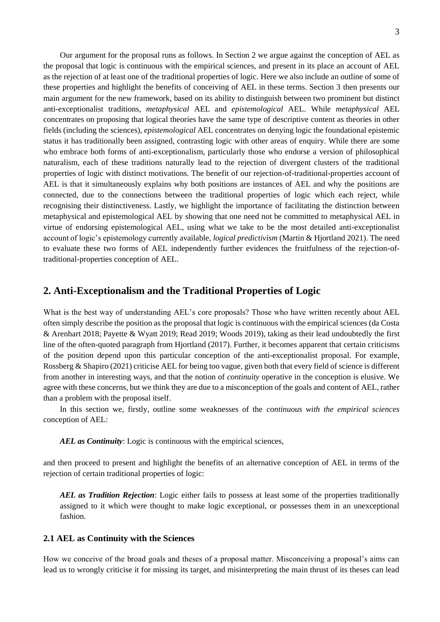Our argument for the proposal runs as follows. In Section 2 we argue against the conception of AEL as the proposal that logic is continuous with the empirical sciences, and present in its place an account of AEL as the rejection of at least one of the traditional properties of logic. Here we also include an outline of some of these properties and highlight the benefits of conceiving of AEL in these terms. Section 3 then presents our main argument for the new framework, based on its ability to distinguish between two prominent but distinct anti-exceptionalist traditions, *metaphysical* AEL and *epistemological* AEL. While *metaphysical* AEL concentrates on proposing that logical theories have the same type of descriptive content as theories in other fields (including the sciences), *epistemological* AEL concentrates on denying logic the foundational epistemic status it has traditionally been assigned, contrasting logic with other areas of enquiry. While there are some who embrace both forms of anti-exceptionalism, particularly those who endorse a version of philosophical naturalism, each of these traditions naturally lead to the rejection of divergent clusters of the traditional properties of logic with distinct motivations. The benefit of our rejection-of-traditional-properties account of AEL is that it simultaneously explains why both positions are instances of AEL and why the positions are connected, due to the connections between the traditional properties of logic which each reject, while recognising their distinctiveness. Lastly, we highlight the importance of facilitating the distinction between metaphysical and epistemological AEL by showing that one need not be committed to metaphysical AEL in virtue of endorsing epistemological AEL, using what we take to be the most detailed anti-exceptionalist account of logic's epistemology currently available, *logical predictivism* (Martin & Hjortland 2021). The need to evaluate these two forms of AEL independently further evidences the fruitfulness of the rejection-oftraditional-properties conception of AEL.

### **2. Anti-Exceptionalism and the Traditional Properties of Logic**

What is the best way of understanding AEL's core proposals? Those who have written recently about AEL often simply describe the position as the proposal that logic is continuous with the empirical sciences (da Costa & Arenhart 2018; Payette & Wyatt 2019; Read 2019; Woods 2019), taking as their lead undoubtedly the first line of the often-quoted paragraph from Hjortland (2017). Further, it becomes apparent that certain criticisms of the position depend upon this particular conception of the anti-exceptionalist proposal. For example, Rossberg & Shapiro (2021) criticise AEL for being too vague, given both that every field of science is different from another in interesting ways, and that the notion of *continuity* operative in the conception is elusive. We agree with these concerns, but we think they are due to a misconception of the goals and content of AEL, rather than a problem with the proposal itself.

In this section we, firstly, outline some weaknesses of the *continuous with the empirical sciences*  conception of AEL:

*AEL as Continuity:* Logic is continuous with the empirical sciences,

and then proceed to present and highlight the benefits of an alternative conception of AEL in terms of the rejection of certain traditional properties of logic:

*AEL as Tradition Rejection*: Logic either fails to possess at least some of the properties traditionally assigned to it which were thought to make logic exceptional, or possesses them in an unexceptional fashion.

#### **2.1 AEL as Continuity with the Sciences**

How we conceive of the broad goals and theses of a proposal matter. Misconceiving a proposal's aims can lead us to wrongly criticise it for missing its target, and misinterpreting the main thrust of its theses can lead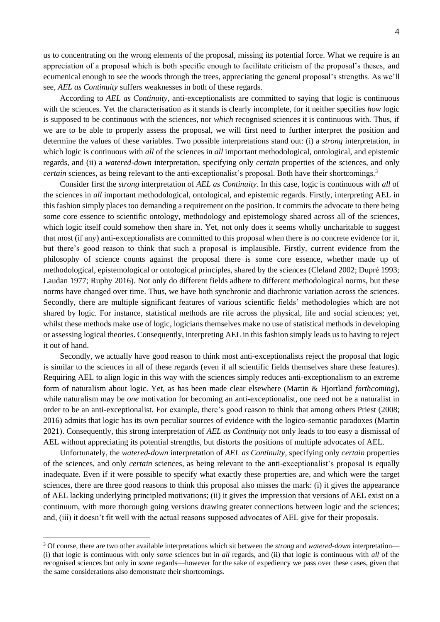us to concentrating on the wrong elements of the proposal, missing its potential force. What we require is an appreciation of a proposal which is both specific enough to facilitate criticism of the proposal's theses, and ecumenical enough to see the woods through the trees, appreciating the general proposal's strengths. As we'll see, *AEL as Continuity* suffers weaknesses in both of these regards.

According to *AEL as Continuity*, anti-exceptionalists are committed to saying that logic is continuous with the sciences. Yet the characterisation as it stands is clearly incomplete, for it neither specifies *how* logic is supposed to be continuous with the sciences, nor *which* recognised sciences it is continuous with. Thus, if we are to be able to properly assess the proposal, we will first need to further interpret the position and determine the values of these variables. Two possible interpretations stand out: (i) a *strong* interpretation, in which logic is continuous with *all* of the sciences in *all* important methodological, ontological, and epistemic regards, and (ii) a *watered-down* interpretation, specifying only *certain* properties of the sciences, and only *certain* sciences, as being relevant to the anti-exceptionalist's proposal. Both have their shortcomings.<sup>3</sup>

Consider first the *strong* interpretation of *AEL as Continuity*. In this case, logic is continuous with *all* of the sciences in *all* important methodological, ontological, and epistemic regards. Firstly, interpreting AEL in this fashion simply places too demanding a requirement on the position. It commits the advocate to there being some core essence to scientific ontology, methodology and epistemology shared across all of the sciences, which logic itself could somehow then share in. Yet, not only does it seems wholly uncharitable to suggest that most (if any) anti-exceptionalists are committed to this proposal when there is no concrete evidence for it, but there's good reason to think that such a proposal is implausible. Firstly, current evidence from the philosophy of science counts against the proposal there is some core essence, whether made up of methodological, epistemological or ontological principles, shared by the sciences (Cleland 2002; Dupré 1993; Laudan 1977; Ruphy 2016). Not only do different fields adhere to different methodological norms, but these norms have changed over time. Thus, we have both synchronic and diachronic variation across the sciences. Secondly, there are multiple significant features of various scientific fields' methodologies which are not shared by logic. For instance, statistical methods are rife across the physical, life and social sciences; yet, whilst these methods make use of logic, logicians themselves make no use of statistical methods in developing or assessing logical theories. Consequently, interpreting AEL in this fashion simply leads us to having to reject it out of hand.

Secondly, we actually have good reason to think most anti-exceptionalists reject the proposal that logic is similar to the sciences in all of these regards (even if all scientific fields themselves share these features). Requiring AEL to align logic in this way with the sciences simply reduces anti-exceptionalism to an extreme form of naturalism about logic. Yet, as has been made clear elsewhere (Martin & Hjortland *forthcoming*), while naturalism may be *one* motivation for becoming an anti-exceptionalist, one need not be a naturalist in order to be an anti-exceptionalist. For example, there's good reason to think that among others Priest (2008; 2016) admits that logic has its own peculiar sources of evidence with the logico-semantic paradoxes (Martin 2021). Consequently, this strong interpretation of *AEL as Continuity* not only leads to too easy a dismissal of AEL without appreciating its potential strengths, but distorts the positions of multiple advocates of AEL.

Unfortunately, the *watered-down* interpretation of *AEL as Continuity*, specifying only *certain* properties of the sciences, and only *certain* sciences, as being relevant to the anti-exceptionalist's proposal is equally inadequate. Even if it were possible to specify what exactly these properties are, and which were the target sciences, there are three good reasons to think this proposal also misses the mark: (i) it gives the appearance of AEL lacking underlying principled motivations; (ii) it gives the impression that versions of AEL exist on a continuum, with more thorough going versions drawing greater connections between logic and the sciences; and, (iii) it doesn't fit well with the actual reasons supposed advocates of AEL give for their proposals.

<sup>3</sup> Of course, there are two other available interpretations which sit between the *strong* and *watered-down* interpretation— (i) that logic is continuous with only *some* sciences but in *all* regards, and (ii) that logic is continuous with *all* of the recognised sciences but only in *some* regards—however for the sake of expediency we pass over these cases, given that the same considerations also demonstrate their shortcomings.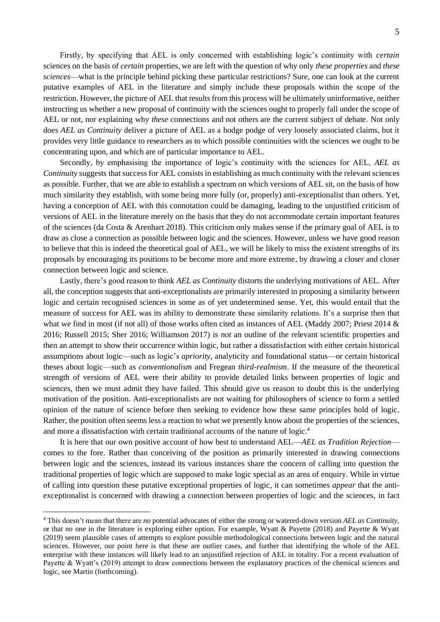Firstly, by specifying that AEL is only concerned with establishing logic's continuity with *certain* sciences on the basis of *certain* properties, we are left with the question of why only *these properties* and *these sciences*—what is the principle behind picking these particular restrictions? Sure, one can look at the current putative examples of AEL in the literature and simply include these proposals within the scope of the restriction. However, the picture of AEL that results from this process will be ultimately uninformative, neither instructing us whether a new proposal of continuity with the sciences ought to properly fall under the scope of AEL or not, nor explaining why *these* connections and not others are the current subject of debate. Not only does *AEL as Continuity* deliver a picture of AEL as a hodge podge of very loosely associated claims, but it provides very little guidance to researchers as to which possible continuities with the sciences we ought to be concentrating upon, and which are of particular importance to AEL.

Secondly, by emphasising the importance of logic's continuity with the sciences for AEL, *AEL as Continuity* suggests that success for AEL consists in establishing as much continuity with the relevant sciences as possible. Further, that we are able to establish a spectrum on which versions of AEL sit, on the basis of how much similarity they establish, with some being more fully (or, properly) anti-exceptionalist than others. Yet, having a conception of AEL with this connotation could be damaging, leading to the unjustified criticism of versions of AEL in the literature merely on the basis that they do not accommodate certain important features of the sciences (da Costa & Arenhart 2018). This criticism only makes sense if the primary goal of AEL is to draw as close a connection as possible between logic and the sciences. However, unless we have good reason to believe that this is indeed the theoretical goal of AEL, we will be likely to miss the existent strengths of its proposals by encouraging its positions to be become more and more extreme, by drawing a closer and closer connection between logic and science.

Lastly, there's good reason to think *AEL as Continuity* distorts the underlying motivations of AEL. After all, the conception suggests that anti-exceptionalists are primarily interested in proposing a similarity between logic and certain recognised sciences in some as of yet undetermined sense. Yet, this would entail that the measure of success for AEL was its ability to demonstrate these similarity relations. It's a surprise then that what we find in most (if not all) of those works often cited as instances of AEL (Maddy 2007; Priest 2014 & 2016; Russell 2015; Sher 2016; Williamson 2017) is *not* an outline of the relevant scientific properties and then an attempt to show their occurrence within logic, but rather a dissatisfaction with either certain historical assumptions about logic—such as logic's *apriority*, analyticity and foundational status—or certain historical theses about logic—such as *conventionalism* and Fregean *third-realmism*. If the measure of the theoretical strength of versions of AEL were their ability to provide detailed links between properties of logic and sciences, then we must admit they have failed. This should give us reason to doubt this is the underlying motivation of the position. Anti-exceptionalists are not waiting for philosophers of science to form a settled opinion of the nature of science before then seeking to evidence how these same principles hold of logic. Rather, the position often seems less a reaction to what we presently know about the properties of the sciences, and more a dissatisfaction with certain traditional accounts of the nature of logic.<sup>4</sup>

It is here that our own positive account of how best to understand AEL—*AEL as Tradition Rejection* comes to the fore. Rather than conceiving of the position as primarily interested in drawing connections between logic and the sciences, instead its various instances share the concern of calling into question the traditional properties of logic which are supposed to make logic special as an area of enquiry. While in virtue of calling into question these putative exceptional properties of logic, it can sometimes *appear* that the antiexceptionalist is concerned with drawing a connection between properties of logic and the sciences, in fact

<sup>4</sup> This doesn't mean that there are *no* potential advocates of either the strong or watered-down version *AEL as Continuity*, or that no one in the literature is exploring either option. For example, Wyatt & Payette (2018) and Payette & Wyatt (2019) seem plausible cases of attempts to explore possible methodological connections between logic and the natural sciences. However, our point here is that these are outlier cases, and further that identifying the whole of the AEL enterprise with these instances will likely lead to an unjustified rejection of AEL in totality. For a recent evaluation of Payette & Wyatt's (2019) attempt to draw connections between the explanatory practices of the chemical sciences and logic, see Martin (forthcoming).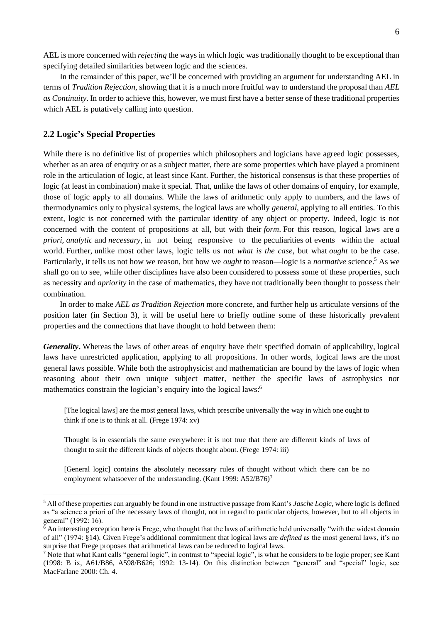In the remainder of this paper, we'll be concerned with providing an argument for understanding AEL in terms of *Tradition Rejection*, showing that it is a much more fruitful way to understand the proposal than *AEL as Continuity*. In order to achieve this, however, we must first have a better sense of these traditional properties which AEL is putatively calling into question.

### **2.2 Logic's Special Properties**

While there is no definitive list of properties which philosophers and logicians have agreed logic possesses, whether as an area of enquiry or as a subject matter, there are some properties which have played a prominent role in the articulation of logic, at least since Kant. Further, the historical consensus is that these properties of logic (at least in combination) make it special. That, unlike the laws of other domains of enquiry, for example, those of logic apply to all domains. While the laws of arithmetic only apply to numbers, and the laws of thermodynamics only to physical systems, the logical laws are wholly *general*, applying to all entities. To this extent, logic is not concerned with the particular identity of any object or property. Indeed, logic is not concerned with the content of propositions at all, but with their *form*. For this reason, logical laws are *a priori, analytic* and *necessary*, in not being responsive to the peculiarities of events within the actual world. Further, unlike most other laws, logic tells us not *what is the case*, but what *ought* to be the case. Particularly, it tells us not how we reason, but how we *ought* to reason—logic is a *normative* science.<sup>5</sup> As we shall go on to see, while other disciplines have also been considered to possess some of these properties, such as necessity and *apriority* in the case of mathematics, they have not traditionally been thought to possess their combination.

In order to make *AEL as Tradition Rejection* more concrete, and further help us articulate versions of the position later (in Section 3), it will be useful here to briefly outline some of these historically prevalent properties and the connections that have thought to hold between them:

*Generality*. Whereas the laws of other areas of enquiry have their specified domain of applicability, logical laws have unrestricted application, applying to all propositions. In other words, logical laws are the most general laws possible. While both the astrophysicist and mathematician are bound by the laws of logic when reasoning about their own unique subject matter, neither the specific laws of astrophysics nor mathematics constrain the logician's enquiry into the logical laws:<sup>6</sup>

[The logical laws] are the most general laws, which prescribe universally the way in which one ought to think if one is to think at all. (Frege 1974: xv)

Thought is in essentials the same everywhere: it is not true that there are different kinds of laws of thought to suit the different kinds of objects thought about. (Frege 1974: iii)

[General logic] contains the absolutely necessary rules of thought without which there can be no employment whatsoever of the understanding. (Kant 1999: A52/B76)<sup>7</sup>

<sup>5</sup> All of these properties can arguably be found in one instructive passage from Kant's *Jasche Logic*, where logic is defined as "a science a priori of the necessary laws of thought, not in regard to particular objects, however, but to all objects in general" (1992: 16).

<sup>&</sup>lt;sup>6</sup> An interesting exception here is Frege, who thought that the laws of arithmetic held universally "with the widest domain of all" (1974: §14). Given Frege's additional commitment that logical laws are *defined* as the most general laws, it's no surprise that Frege proposes that arithmetical laws can be reduced to logical laws.

<sup>7</sup> Note that what Kant calls "general logic", in contrast to "special logic", is what he considers to be logic proper; see Kant (1998: B ix, A61/B86, A598/B626; 1992: 13-14). On this distinction between "general" and "special" logic, see MacFarlane 2000: Ch. 4.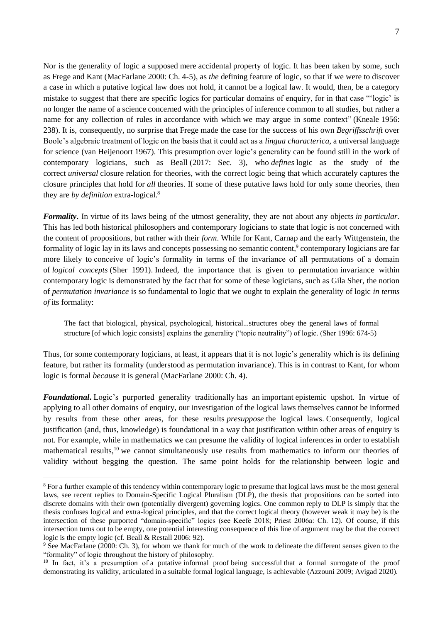Nor is the generality of logic a supposed mere accidental property of logic. It has been taken by some, such as Frege and Kant (MacFarlane 2000: Ch. 4-5), as *the* defining feature of logic, so that if we were to discover a case in which a putative logical law does not hold, it cannot be a logical law. It would, then, be a category mistake to suggest that there are specific logics for particular domains of enquiry, for in that case "'logic' is no longer the name of a science concerned with the principles of inference common to all studies, but rather a name for any collection of rules in accordance with which we may argue in some context" (Kneale 1956: 238). It is, consequently, no surprise that Frege made the case for the success of his own *Begriffsschrift* over Boole's algebraic treatment of logic on the basis that it could act as a *lingua characterica,* a universal language for science (van Heijenoort 1967). This presumption over logic's generality can be found still in the work of contemporary logicians, such as Beall (2017: Sec. 3), who *defines* logic as the study of the correct *universal* closure relation for theories, with the correct logic being that which accurately captures the closure principles that hold for *all* theories. If some of these putative laws hold for only some theories, then they are *by definition* extra-logical.<sup>8</sup>

*Formality***.** In virtue of its laws being of the utmost generality, they are not about any objects *in particular*. This has led both historical philosophers and contemporary logicians to state that logic is not concerned with the content of propositions, but rather with their *form*. While for Kant, Carnap and the early Wittgenstein, the formality of logic lay in its laws and concepts possessing no semantic content,<sup>9</sup> contemporary logicians are far more likely to conceive of logic's formality in terms of the invariance of all permutations of a domain of *logical concepts* (Sher 1991). Indeed, the importance that is given to permutation invariance within contemporary logic is demonstrated by the fact that for some of these logicians, such as Gila Sher, the notion of *permutation invariance* is so fundamental to logic that we ought to explain the generality of logic *in terms of* its formality:

The fact that biological, physical, psychological, historical...structures obey the general laws of formal structure [of which logic consists] explains the generality ("topic neutrality") of logic. (Sher 1996: 674-5)

Thus, for some contemporary logicians, at least, it appears that it is not logic's generality which is its defining feature, but rather its formality (understood as permutation invariance). This is in contrast to Kant, for whom logic is formal *because* it is general (MacFarlane 2000: Ch. 4).

*Foundational***.** Logic's purported generality traditionally has an important epistemic upshot. In virtue of applying to all other domains of enquiry, our investigation of the logical laws themselves cannot be informed by results from these other areas, for these results *presuppose* the logical laws. Consequently, logical justification (and, thus, knowledge) is foundational in a way that justification within other areas of enquiry is not. For example, while in mathematics we can presume the validity of logical inferences in order to establish mathematical results,<sup>10</sup> we cannot simultaneously use results from mathematics to inform our theories of validity without begging the question. The same point holds for the relationship between logic and

<sup>&</sup>lt;sup>8</sup> For a further example of this tendency within contemporary logic to presume that logical laws must be the most general laws, see recent replies to Domain-Specific Logical Pluralism (DLP), the thesis that propositions can be sorted into discrete domains with their own (potentially divergent) governing logics. One common reply to DLP is simply that the thesis confuses logical and extra-logical principles, and that the correct logical theory (however weak it may be) is the intersection of these purported "domain-specific" logics (see Keefe 2018; Priest 2006a: Ch. 12). Of course, if this intersection turns out to be empty, one potential interesting consequence of this line of argument may be that the correct logic is the empty logic (cf. Beall & Restall 2006: 92).

<sup>9</sup> See MacFarlane (2000: Ch. 3), for whom we thank for much of the work to delineate the different senses given to the "formality" of logic throughout the history of philosophy.

<sup>&</sup>lt;sup>10</sup> In fact, it's a presumption of a putative informal proof being successful that a formal surrogate of the proof demonstrating its validity, articulated in a suitable formal logical language, is achievable (Azzouni 2009; Avigad 2020).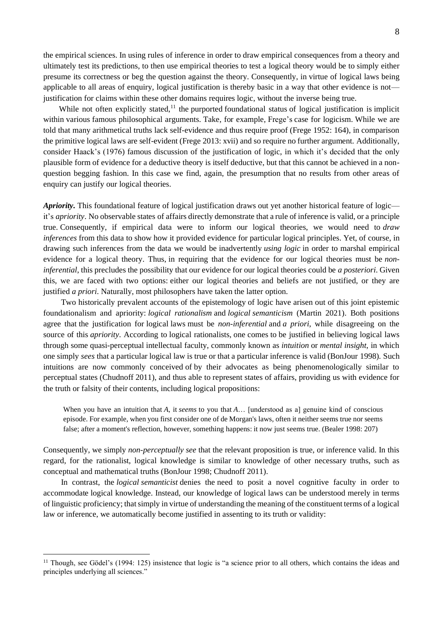the empirical sciences. In using rules of inference in order to draw empirical consequences from a theory and ultimately test its predictions, to then use empirical theories to test a logical theory would be to simply either presume its correctness or beg the question against the theory. Consequently, in virtue of logical laws being applicable to all areas of enquiry, logical justification is thereby basic in a way that other evidence is not justification for claims within these other domains requires logic, without the inverse being true.

While not often explicitly stated, $11$  the purported foundational status of logical justification is implicit within various famous philosophical arguments. Take, for example, Frege's case for logicism. While we are told that many arithmetical truths lack self-evidence and thus require proof (Frege 1952: 164), in comparison the primitive logical laws are self-evident (Frege 2013: xvii) and so require no further argument. Additionally, consider Haack's (1976) famous discussion of the justification of logic, in which it's decided that the only plausible form of evidence for a deductive theory is itself deductive, but that this cannot be achieved in a nonquestion begging fashion. In this case we find, again, the presumption that no results from other areas of enquiry can justify our logical theories.

*Apriority.* This foundational feature of logical justification draws out yet another historical feature of logic it's *apriority*. No observable states of affairs directly demonstrate that a rule of inference is valid, or a principle true. Consequently, if empirical data were to inform our logical theories, we would need to *draw inferences* from this data to show how it provided evidence for particular logical principles. Yet, of course, in drawing such inferences from the data we would be inadvertently *using logic* in order to marshal empirical evidence for a logical theory. Thus, in requiring that the evidence for our logical theories must be *noninferential*, this precludes the possibility that our evidence for our logical theories could be *a posteriori*. Given this, we are faced with two options: either our logical theories and beliefs are not justified, or they are justified *a priori*. Naturally, most philosophers have taken the latter option.

Two historically prevalent accounts of the epistemology of logic have arisen out of this joint epistemic foundationalism and apriority: *logical rationalism* and *logical semanticism* (Martin 2021). Both positions agree that the justification for logical laws must be *non-inferential* and *a priori*, while disagreeing on the source of this *apriority*. According to logical rationalists, one comes to be justified in believing logical laws through some quasi-perceptual intellectual faculty, commonly known as *intuition* or *mental insight*, in which one simply *sees* that a particular logical law is true or that a particular inference is valid (BonJour 1998)*.* Such intuitions are now commonly conceived of by their advocates as being phenomenologically similar to perceptual states (Chudnoff 2011), and thus able to represent states of affairs, providing us with evidence for the truth or falsity of their contents, including logical propositions:

When you have an intuition that *A*, it *seems* to you that *A*… [understood as a] genuine kind of conscious episode. For example, when you first consider one of de Morgan's laws, often it neither seems true nor seems false; after a moment's reflection, however, something happens: it now just seems true. (Bealer 1998: 207)

Consequently, we simply *non-perceptually see* that the relevant proposition is true, or inference valid. In this regard, for the rationalist, logical knowledge is similar to knowledge of other necessary truths, such as conceptual and mathematical truths (BonJour 1998; Chudnoff 2011).

In contrast, the *logical semanticist* denies the need to posit a novel cognitive faculty in order to accommodate logical knowledge. Instead, our knowledge of logical laws can be understood merely in terms of linguistic proficiency; that simply in virtue of understanding the meaning of the constituent terms of a logical law or inference, we automatically become justified in assenting to its truth or validity:

 $11$  Though, see Gödel's (1994: 125) insistence that logic is "a science prior to all others, which contains the ideas and principles underlying all sciences."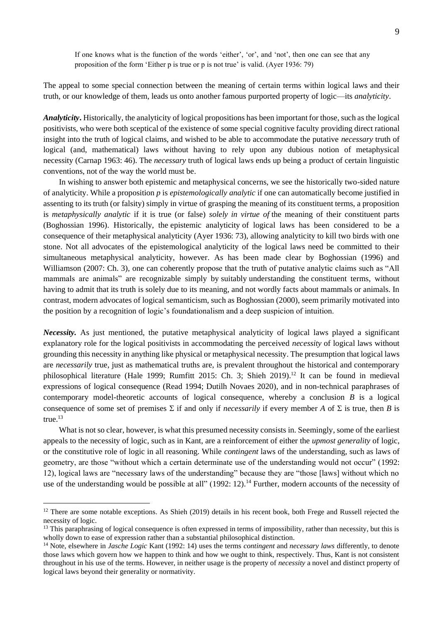If one knows what is the function of the words 'either', 'or', and 'not', then one can see that any proposition of the form 'Either p is true or p is not true' is valid. (Ayer 1936: 79)

The appeal to some special connection between the meaning of certain terms within logical laws and their truth, or our knowledge of them, leads us onto another famous purported property of logic—its *analyticity*.

*Analyticity***.** Historically, the analyticity of logical propositions has been important for those, such as the logical positivists, who were both sceptical of the existence of some special cognitive faculty providing direct rational insight into the truth of logical claims, and wished to be able to accommodate the putative *necessary* truth of logical (and, mathematical) laws without having to rely upon any dubious notion of metaphysical necessity (Carnap 1963: 46). The *necessary* truth of logical laws ends up being a product of certain linguistic conventions, not of the way the world must be.

In wishing to answer both epistemic and metaphysical concerns, we see the historically two-sided nature of analyticity. While a proposition *p* is *epistemologically analytic* if one can automatically become justified in assenting to its truth (or falsity) simply in virtue of grasping the meaning of its constituent terms, a proposition is *metaphysically analytic* if it is true (or false) *solely in virtue of* the meaning of their constituent parts (Boghossian 1996). Historically, the epistemic analyticity of logical laws has been considered to be a consequence of their metaphysical analyticity (Ayer 1936: 73), allowing analyticity to kill two birds with one stone. Not all advocates of the epistemological analyticity of the logical laws need be committed to their simultaneous metaphysical analyticity, however. As has been made clear by Boghossian (1996) and Williamson (2007: Ch. 3), one can coherently propose that the truth of putative analytic claims such as "All" mammals are animals" are recognizable simply by suitably understanding the constituent terms, without having to admit that its truth is solely due to its meaning, and not wordly facts about mammals or animals. In contrast, modern advocates of logical semanticism, such as Boghossian (2000), seem primarily motivated into the position by a recognition of logic's foundationalism and a deep suspicion of intuition.

*Necessity.* As just mentioned, the putative metaphysical analyticity of logical laws played a significant explanatory role for the logical positivists in accommodating the perceived *necessity* of logical laws without grounding this necessity in anything like physical or metaphysical necessity. The presumption that logical laws are *necessarily* true, just as mathematical truths are, is prevalent throughout the historical and contemporary philosophical literature (Hale 1999; Rumfitt 2015: Ch. 3; Shieh 2019).<sup>12</sup> It can be found in medieval expressions of logical consequence (Read 1994; Dutilh Novaes 2020), and in non-technical paraphrases of contemporary model-theoretic accounts of logical consequence, whereby a conclusion *B* is a logical consequence of some set of premises  $\Sigma$  if and only if *necessarily* if every member *A* of  $\Sigma$  is true, then *B* is  $true<sup>13</sup>$ 

What is not so clear, however, is what this presumed necessity consists in. Seemingly, some of the earliest appeals to the necessity of logic, such as in Kant, are a reinforcement of either the *upmost generality* of logic, or the constitutive role of logic in all reasoning. While *contingent* laws of the understanding, such as laws of geometry, are those "without which a certain determinate use of the understanding would not occur" (1992: 12), logical laws are "necessary laws of the understanding" because they are "those [laws] without which no use of the understanding would be possible at all" (1992: 12).<sup>14</sup> Further, modern accounts of the necessity of

<sup>&</sup>lt;sup>12</sup> There are some notable exceptions. As Shieh (2019) details in his recent book, both Frege and Russell rejected the necessity of logic.

<sup>&</sup>lt;sup>13</sup> This paraphrasing of logical consequence is often expressed in terms of impossibility, rather than necessity, but this is wholly down to ease of expression rather than a substantial philosophical distinction.

<sup>14</sup> Note, elsewhere in *Jasche Logic* Kant (1992: 14) uses the terms *contingent* and *necessary laws* differently, to denote those laws which govern how we happen to think and how we ought to think, respectively. Thus, Kant is not consistent throughout in his use of the terms. However, in neither usage is the property of *necessity* a novel and distinct property of logical laws beyond their generality or normativity.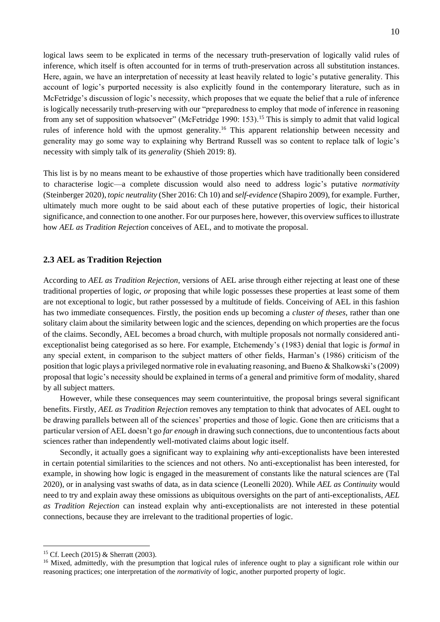logical laws seem to be explicated in terms of the necessary truth-preservation of logically valid rules of inference, which itself is often accounted for in terms of truth-preservation across all substitution instances. Here, again, we have an interpretation of necessity at least heavily related to logic's putative generality. This account of logic's purported necessity is also explicitly found in the contemporary literature, such as in McFetridge's discussion of logic's necessity, which proposes that we equate the belief that a rule of inference is logically necessarily truth-preserving with our "preparedness to employ that mode of inference in reasoning from any set of supposition whatsoever" (McFetridge 1990: 153).<sup>15</sup> This is simply to admit that valid logical rules of inference hold with the upmost generality.<sup>16</sup> This apparent relationship between necessity and generality may go some way to explaining why Bertrand Russell was so content to replace talk of logic's necessity with simply talk of its *generality* (Shieh 2019: 8).

This list is by no means meant to be exhaustive of those properties which have traditionally been considered to characterise logic—a complete discussion would also need to address logic's putative *normativity* (Steinberger 2020), *topic neutrality* (Sher 2016: Ch 10) and *self-evidence* (Shapiro 2009), for example. Further, ultimately much more ought to be said about each of these putative properties of logic, their historical significance, and connection to one another. For our purposes here, however, this overview suffices to illustrate how *AEL as Tradition Rejection* conceives of AEL, and to motivate the proposal.

#### **2.3 AEL as Tradition Rejection**

According to *AEL as Tradition Rejection*, versions of AEL arise through either rejecting at least one of these traditional properties of logic, *or* proposing that while logic possesses these properties at least some of them are not exceptional to logic, but rather possessed by a multitude of fields. Conceiving of AEL in this fashion has two immediate consequences. Firstly, the position ends up becoming a *cluster of theses*, rather than one solitary claim about the similarity between logic and the sciences, depending on which properties are the focus of the claims. Secondly, AEL becomes a broad church, with multiple proposals not normally considered antiexceptionalist being categorised as so here. For example, Etchemendy's (1983) denial that logic is *formal* in any special extent, in comparison to the subject matters of other fields, Harman's (1986) criticism of the position that logic plays a privileged normative role in evaluating reasoning, and Bueno & Shalkowski's (2009) proposal that logic's necessity should be explained in terms of a general and primitive form of modality, shared by all subject matters.

However, while these consequences may seem counterintuitive, the proposal brings several significant benefits. Firstly, *AEL as Tradition Rejection* removes any temptation to think that advocates of AEL ought to be drawing parallels between all of the sciences' properties and those of logic. Gone then are criticisms that a particular version of AEL doesn't go *far enough* in drawing such connections, due to uncontentious facts about sciences rather than independently well-motivated claims about logic itself.

Secondly, it actually goes a significant way to explaining *why* anti-exceptionalists have been interested in certain potential similarities to the sciences and not others. No anti-exceptionalist has been interested, for example, in showing how logic is engaged in the measurement of constants like the natural sciences are (Tal 2020), or in analysing vast swaths of data, as in data science (Leonelli 2020). While *AEL as Continuity* would need to try and explain away these omissions as ubiquitous oversights on the part of anti-exceptionalists, *AEL as Tradition Rejection* can instead explain why anti-exceptionalists are not interested in these potential connections, because they are irrelevant to the traditional properties of logic.

<sup>15</sup> Cf. Leech (2015) & Sherratt (2003).

<sup>&</sup>lt;sup>16</sup> Mixed, admittedly, with the presumption that logical rules of inference ought to play a significant role within our reasoning practices; one interpretation of the *normativity* of logic, another purported property of logic.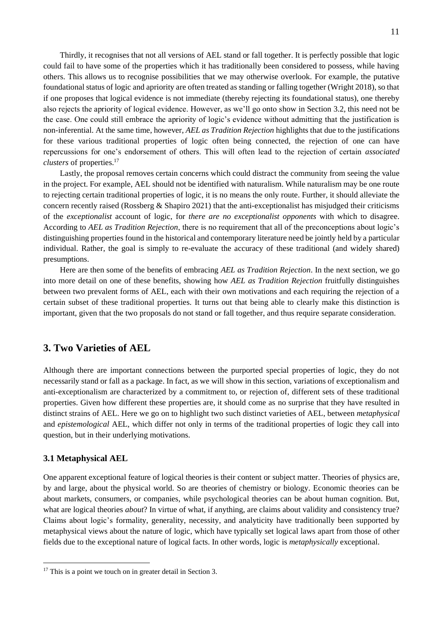Thirdly, it recognises that not all versions of AEL stand or fall together. It is perfectly possible that logic could fail to have some of the properties which it has traditionally been considered to possess, while having others. This allows us to recognise possibilities that we may otherwise overlook. For example, the putative foundational status of logic and apriority are often treated as standing or falling together (Wright 2018), so that if one proposes that logical evidence is not immediate (thereby rejecting its foundational status), one thereby also rejects the apriority of logical evidence. However, as we'll go onto show in Section 3.2, this need not be the case. One could still embrace the apriority of logic's evidence without admitting that the justification is non-inferential. At the same time, however, *AEL as Tradition Rejection* highlights that due to the justifications for these various traditional properties of logic often being connected, the rejection of one can have repercussions for one's endorsement of others. This will often lead to the rejection of certain *associated clusters* of properties.<sup>17</sup>

Lastly, the proposal removes certain concerns which could distract the community from seeing the value in the project. For example, AEL should not be identified with naturalism. While naturalism may be one route to rejecting certain traditional properties of logic, it is no means the only route. Further, it should alleviate the concern recently raised (Rossberg & Shapiro 2021) that the anti-exceptionalist has misjudged their criticisms of the *exceptionalist* account of logic, for *there are no exceptionalist opponents* with which to disagree. According to *AEL as Tradition Rejection*, there is no requirement that all of the preconceptions about logic's distinguishing properties found in the historical and contemporary literature need be jointly held by a particular individual. Rather, the goal is simply to re-evaluate the accuracy of these traditional (and widely shared) presumptions.

Here are then some of the benefits of embracing *AEL as Tradition Rejection*. In the next section, we go into more detail on one of these benefits, showing how *AEL as Tradition Rejection* fruitfully distinguishes between two prevalent forms of AEL, each with their own motivations and each requiring the rejection of a certain subset of these traditional properties. It turns out that being able to clearly make this distinction is important, given that the two proposals do not stand or fall together, and thus require separate consideration.

### **3. Two Varieties of AEL**

Although there are important connections between the purported special properties of logic, they do not necessarily stand or fall as a package. In fact, as we will show in this section, variations of exceptionalism and anti-exceptionalism are characterized by a commitment to, or rejection of, different sets of these traditional properties. Given how different these properties are, it should come as no surprise that they have resulted in distinct strains of AEL. Here we go on to highlight two such distinct varieties of AEL, between *metaphysical* and *epistemological* AEL, which differ not only in terms of the traditional properties of logic they call into question, but in their underlying motivations.

### **3.1 Metaphysical AEL**

One apparent exceptional feature of logical theories is their content or subject matter. Theories of physics are, by and large, about the physical world. So are theories of chemistry or biology. Economic theories can be about markets, consumers, or companies, while psychological theories can be about human cognition. But, what are logical theories *about*? In virtue of what, if anything, are claims about validity and consistency true? Claims about logic's formality, generality, necessity, and analyticity have traditionally been supported by metaphysical views about the nature of logic, which have typically set logical laws apart from those of other fields due to the exceptional nature of logical facts. In other words, logic is *metaphysically* exceptional.

<sup>&</sup>lt;sup>17</sup> This is a point we touch on in greater detail in Section 3.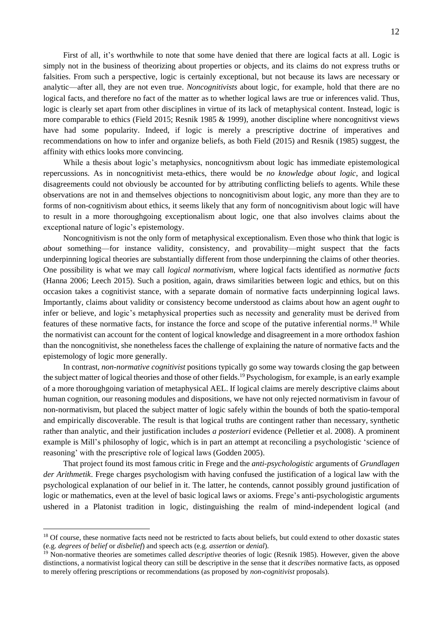First of all, it's worthwhile to note that some have denied that there are logical facts at all. Logic is simply not in the business of theorizing about properties or objects, and its claims do not express truths or falsities. From such a perspective, logic is certainly exceptional, but not because its laws are necessary or analytic—after all, they are not even true. *Noncognitivists* about logic, for example, hold that there are no logical facts, and therefore no fact of the matter as to whether logical laws are true or inferences valid. Thus, logic is clearly set apart from other disciplines in virtue of its lack of metaphysical content. Instead, logic is more comparable to ethics (Field 2015; Resnik 1985 & 1999), another discipline where noncognitivst views have had some popularity. Indeed, if logic is merely a prescriptive doctrine of imperatives and recommendations on how to infer and organize beliefs, as both Field (2015) and Resnik (1985) suggest, the affinity with ethics looks more convincing.

While a thesis about logic's metaphysics, noncognitivsm about logic has immediate epistemological repercussions. As in noncognitivist meta-ethics, there would be *no knowledge about logic*, and logical disagreements could not obviously be accounted for by attributing conflicting beliefs to agents. While these observations are not in and themselves objections to noncognitivism about logic, any more than they are to forms of non-cognitivism about ethics, it seems likely that any form of noncognitivism about logic will have to result in a more thoroughgoing exceptionalism about logic, one that also involves claims about the exceptional nature of logic's epistemology.

Noncognitivism is not the only form of metaphysical exceptionalism. Even those who think that logic is *about* something—for instance validity, consistency, and provability—might suspect that the facts underpinning logical theories are substantially different from those underpinning the claims of other theories. One possibility is what we may call *logical normativism*, where logical facts identified as *normative facts* (Hanna 2006; Leech 2015). Such a position, again, draws similarities between logic and ethics, but on this occasion takes a cognitivist stance, with a separate domain of normative facts underpinning logical laws. Importantly, claims about validity or consistency become understood as claims about how an agent *ought* to infer or believe, and logic's metaphysical properties such as necessity and generality must be derived from features of these normative facts, for instance the force and scope of the putative inferential norms.<sup>18</sup> While the normativist can account for the content of logical knowledge and disagreement in a more orthodox fashion than the noncognitivist, she nonetheless faces the challenge of explaining the nature of normative facts and the epistemology of logic more generally.

In contrast, *non-normative cognitivist* positions typically go some way towards closing the gap between the subject matter of logical theories and those of other fields.<sup>19</sup> Psychologism, for example, is an early example of a more thoroughgoing variation of metaphysical AEL. If logical claims are merely descriptive claims about human cognition, our reasoning modules and dispositions, we have not only rejected normativism in favour of non-normativism, but placed the subject matter of logic safely within the bounds of both the spatio-temporal and empirically discoverable. The result is that logical truths are contingent rather than necessary, synthetic rather than analytic, and their justification includes *a posteriori* evidence (Pelletier et al. 2008). A prominent example is Mill's philosophy of logic, which is in part an attempt at reconciling a psychologistic 'science of reasoning' with the prescriptive role of logical laws (Godden 2005).

That project found its most famous critic in Frege and the *anti-psychologistic* arguments of *Grundlagen der Arithmetik*. Frege charges psychologism with having confused the justification of a logical law with the psychological explanation of our belief in it. The latter, he contends, cannot possibly ground justification of logic or mathematics, even at the level of basic logical laws or axioms. Frege's anti-psychologistic arguments ushered in a Platonist tradition in logic, distinguishing the realm of mind-independent logical (and

<sup>&</sup>lt;sup>18</sup> Of course, these normative facts need not be restricted to facts about beliefs, but could extend to other doxastic states (e.g. *degrees of belief* or *disbelief*) and speech acts (e.g. *assertion* or *denial*).

<sup>&</sup>lt;sup>19</sup> Non-normative theories are sometimes called *descriptive* theories of logic (Resnik 1985). However, given the above distinctions, a normativist logical theory can still be descriptive in the sense that it *describes* normative facts, as opposed to merely offering prescriptions or recommendations (as proposed by *non-cognitivist* proposals).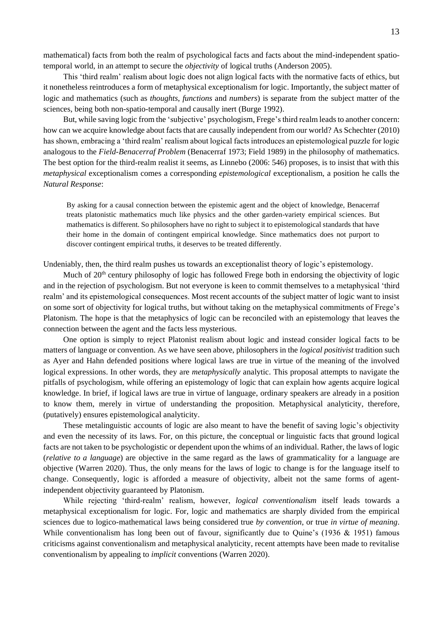mathematical) facts from both the realm of psychological facts and facts about the mind-independent spatiotemporal world, in an attempt to secure the *objectivity* of logical truths (Anderson 2005).

This 'third realm' realism about logic does not align logical facts with the normative facts of ethics, but it nonetheless reintroduces a form of metaphysical exceptionalism for logic. Importantly, the subject matter of logic and mathematics (such as *thoughts*, *functions* and *numbers*) is separate from the subject matter of the sciences, being both non-spatio-temporal and causally inert (Burge 1992).

But, while saving logic from the 'subjective' psychologism, Frege's third realm leads to another concern: how can we acquire knowledge about facts that are causally independent from our world? As Schechter (2010) has shown, embracing a 'third realm' realism about logical facts introduces an epistemological puzzle for logic analogous to the *Field-Benacerraf Problem* (Benacerraf 1973; Field 1989) in the philosophy of mathematics. The best option for the third-realm realist it seems, as Linnebo (2006: 546) proposes, is to insist that with this *metaphysical* exceptionalism comes a corresponding *epistemological* exceptionalism, a position he calls the *Natural Response*:

By asking for a causal connection between the epistemic agent and the object of knowledge, Benacerraf treats platonistic mathematics much like physics and the other garden-variety empirical sciences. But mathematics is different. So philosophers have no right to subject it to epistemological standards that have their home in the domain of contingent empirical knowledge. Since mathematics does not purport to discover contingent empirical truths, it deserves to be treated differently.

Undeniably, then, the third realm pushes us towards an exceptionalist theory of logic's epistemology.

Much of 20<sup>th</sup> century philosophy of logic has followed Frege both in endorsing the objectivity of logic and in the rejection of psychologism. But not everyone is keen to commit themselves to a metaphysical 'third realm' and its epistemological consequences. Most recent accounts of the subject matter of logic want to insist on some sort of objectivity for logical truths, but without taking on the metaphysical commitments of Frege's Platonism. The hope is that the metaphysics of logic can be reconciled with an epistemology that leaves the connection between the agent and the facts less mysterious.

One option is simply to reject Platonist realism about logic and instead consider logical facts to be matters of language or convention. As we have seen above, philosophers in the *logical positivist* tradition such as Ayer and Hahn defended positions where logical laws are true in virtue of the meaning of the involved logical expressions. In other words, they are *metaphysically* analytic. This proposal attempts to navigate the pitfalls of psychologism, while offering an epistemology of logic that can explain how agents acquire logical knowledge. In brief, if logical laws are true in virtue of language, ordinary speakers are already in a position to know them, merely in virtue of understanding the proposition. Metaphysical analyticity, therefore, (putatively) ensures epistemological analyticity.

These metalinguistic accounts of logic are also meant to have the benefit of saving logic's objectivity and even the necessity of its laws. For, on this picture, the conceptual or linguistic facts that ground logical facts are not taken to be psychologistic or dependent upon the whims of an individual. Rather, the laws of logic (*relative to a language*) are objective in the same regard as the laws of grammaticality for a language are objective (Warren 2020). Thus, the only means for the laws of logic to change is for the language itself to change. Consequently, logic is afforded a measure of objectivity, albeit not the same forms of agentindependent objectivity guaranteed by Platonism.

While rejecting 'third-realm' realism, however, *logical conventionalism* itself leads towards a metaphysical exceptionalism for logic. For, logic and mathematics are sharply divided from the empirical sciences due to logico-mathematical laws being considered true *by convention*, or true *in virtue of meaning*. While conventionalism has long been out of favour, significantly due to Quine's (1936 & 1951) famous criticisms against conventionalism and metaphysical analyticity, recent attempts have been made to revitalise conventionalism by appealing to *implicit* conventions (Warren 2020).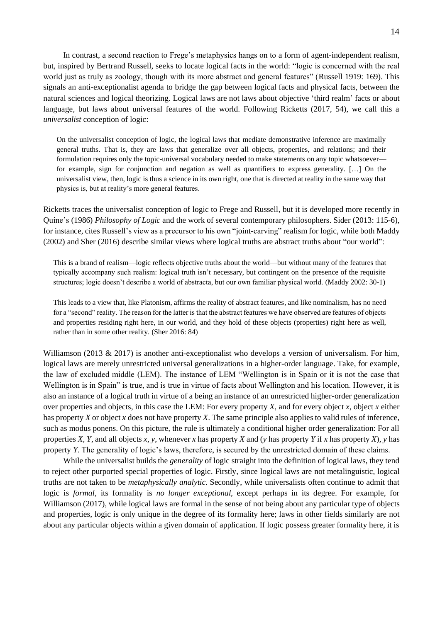In contrast, a second reaction to Frege's metaphysics hangs on to a form of agent-independent realism, but, inspired by Bertrand Russell, seeks to locate logical facts in the world: "logic is concerned with the real world just as truly as zoology, though with its more abstract and general features" (Russell 1919: 169). This signals an anti-exceptionalist agenda to bridge the gap between logical facts and physical facts, between the natural sciences and logical theorizing. Logical laws are not laws about objective 'third realm' facts or about language, but laws about universal features of the world. Following Ricketts (2017, 54), we call this a *universalist* conception of logic:

On the universalist conception of logic, the logical laws that mediate demonstrative inference are maximally general truths. That is, they are laws that generalize over all objects, properties, and relations; and their formulation requires only the topic-universal vocabulary needed to make statements on any topic whatsoever for example, sign for conjunction and negation as well as quantifiers to express generality. […] On the universalist view, then, logic is thus a science in its own right, one that is directed at reality in the same way that physics is, but at reality's more general features.

Ricketts traces the universalist conception of logic to Frege and Russell, but it is developed more recently in Quine's (1986) *Philosophy of Logic* and the work of several contemporary philosophers. Sider (2013: 115-6), for instance, cites Russell's view as a precursor to his own "joint-carving" realism for logic, while both Maddy (2002) and Sher (2016) describe similar views where logical truths are abstract truths about "our world":

This is a brand of realism—logic reflects objective truths about the world—but without many of the features that typically accompany such realism: logical truth isn't necessary, but contingent on the presence of the requisite structures; logic doesn't describe a world of abstracta, but our own familiar physical world. (Maddy 2002: 30-1)

This leads to a view that, like Platonism, affirms the reality of abstract features, and like nominalism, has no need for a "second" reality. The reason for the latter is that the abstract features we have observed are features of objects and properties residing right here, in our world, and they hold of these objects (properties) right here as well, rather than in some other reality. (Sher 2016: 84)

Williamson (2013 & 2017) is another anti-exceptionalist who develops a version of universalism. For him, logical laws are merely unrestricted universal generalizations in a higher-order language. Take, for example, the law of excluded middle (LEM). The instance of LEM "Wellington is in Spain or it is not the case that Wellington is in Spain" is true, and is true in virtue of facts about Wellington and his location. However, it is also an instance of a logical truth in virtue of a being an instance of an unrestricted higher-order generalization over properties and objects, in this case the LEM: For every property *X*, and for every object *x*, object *x* either has property *X* or object *x* does not have property *X*. The same principle also applies to valid rules of inference, such as modus ponens. On this picture, the rule is ultimately a conditional higher order generalization: For all properties *X*, *Y*, and all objects *x*, *y*, whenever *x* has property *X* and (*y* has property *Y* if *x* has property *X*), *y* has property *Y*. The generality of logic's laws, therefore, is secured by the unrestricted domain of these claims.

While the universalist builds the *generality* of logic straight into the definition of logical laws, they tend to reject other purported special properties of logic. Firstly, since logical laws are not metalinguistic, logical truths are not taken to be *metaphysically analytic*. Secondly, while universalists often continue to admit that logic is *formal*, its formality is *no longer exceptional*, except perhaps in its degree. For example, for Williamson (2017), while logical laws are formal in the sense of not being about any particular type of objects and properties, logic is only unique in the degree of its formality here; laws in other fields similarly are not about any particular objects within a given domain of application. If logic possess greater formality here, it is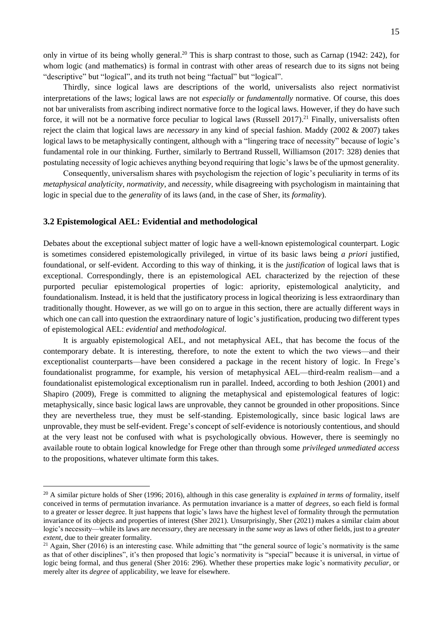only in virtue of its being wholly general.<sup>20</sup> This is sharp contrast to those, such as Carnap (1942: 242), for whom logic (and mathematics) is formal in contrast with other areas of research due to its signs not being "descriptive" but "logical", and its truth not being "factual" but "logical".

Thirdly, since logical laws are descriptions of the world, universalists also reject normativist interpretations of the laws; logical laws are not *especially* or *fundamentally* normative. Of course, this does not bar univeralists from ascribing indirect normative force to the logical laws. However, if they do have such force, it will not be a normative force peculiar to logical laws (Russell 2017).<sup>21</sup> Finally, universalists often reject the claim that logical laws are *necessary* in any kind of special fashion. Maddy (2002 & 2007) takes logical laws to be metaphysically contingent, although with a "lingering trace of necessity" because of logic's fundamental role in our thinking. Further, similarly to Bertrand Russell, Williamson (2017: 328) denies that postulating necessity of logic achieves anything beyond requiring that logic's laws be of the upmost generality.

Consequently, universalism shares with psychologism the rejection of logic's peculiarity in terms of its *metaphysical analyticity*, *normativity*, and *necessity*, while disagreeing with psychologism in maintaining that logic in special due to the *generality* of its laws (and, in the case of Sher, its *formality*).

#### **3.2 Epistemological AEL: Evidential and methodological**

Debates about the exceptional subject matter of logic have a well-known epistemological counterpart. Logic is sometimes considered epistemologically privileged, in virtue of its basic laws being *a priori* justified, foundational, or self-evident. According to this way of thinking, it is the *justification* of logical laws that is exceptional. Correspondingly, there is an epistemological AEL characterized by the rejection of these purported peculiar epistemological properties of logic: apriority, epistemological analyticity, and foundationalism. Instead, it is held that the justificatory process in logical theorizing is less extraordinary than traditionally thought. However, as we will go on to argue in this section, there are actually different ways in which one can call into question the extraordinary nature of logic's justification, producing two different types of epistemological AEL: *evidential* and *methodological*.

It is arguably epistemological AEL, and not metaphysical AEL, that has become the focus of the contemporary debate. It is interesting, therefore, to note the extent to which the two views—and their exceptionalist counterparts—have been considered a package in the recent history of logic. In Frege's foundationalist programme, for example, his version of metaphysical AEL—third-realm realism—and a foundationalist epistemological exceptionalism run in parallel. Indeed, according to both Jeshion (2001) and Shapiro (2009), Frege is committed to aligning the metaphysical and epistemological features of logic: metaphysically, since basic logical laws are unprovable, they cannot be grounded in other propositions. Since they are nevertheless true, they must be self-standing. Epistemologically, since basic logical laws are unprovable, they must be self-evident. Frege's concept of self-evidence is notoriously contentious, and should at the very least not be confused with what is psychologically obvious. However, there is seemingly no available route to obtain logical knowledge for Frege other than through some *privileged unmediated access* to the propositions, whatever ultimate form this takes.

<sup>20</sup> A similar picture holds of Sher (1996; 2016), although in this case generality is *explained in terms of* formality, itself conceived in terms of permutation invariance. As permutation invariance is a matter of *degrees*, so each field is formal to a greater or lesser degree. It just happens that logic's laws have the highest level of formality through the permutation invariance of its objects and properties of interest (Sher 2021). Unsurprisingly, Sher (2021) makes a similar claim about logic's necessity—while its laws are *necessary*, they are necessary in the *same way* as laws of other fields, just to a *greater extent*, due to their greater formality.

<sup>&</sup>lt;sup>21</sup> Again, Sher (2016) is an interesting case. While admitting that "the general source of logic's normativity is the same as that of other disciplines", it's then proposed that logic's normativity is "special" because it is universal, in virtue of logic being formal, and thus general (Sher 2016: 296). Whether these properties make logic's normativity *peculiar*, or merely alter its *degree* of applicability, we leave for elsewhere.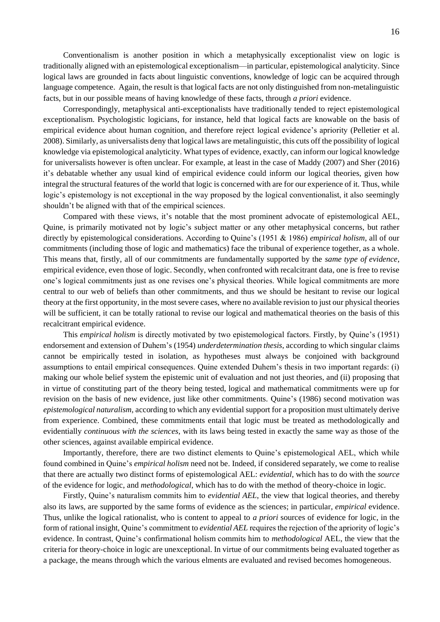Conventionalism is another position in which a metaphysically exceptionalist view on logic is traditionally aligned with an epistemological exceptionalism—in particular, epistemological analyticity. Since logical laws are grounded in facts about linguistic conventions, knowledge of logic can be acquired through language competence. Again, the result is that logical facts are not only distinguished from non-metalinguistic facts, but in our possible means of having knowledge of these facts, through *a priori* evidence.

Correspondingly, metaphysical anti-exceptionalists have traditionally tended to reject epistemological exceptionalism. Psychologistic logicians, for instance, held that logical facts are knowable on the basis of empirical evidence about human cognition, and therefore reject logical evidence's apriority (Pelletier et al. 2008). Similarly, as universalists deny that logical laws are metalinguistic, this cuts off the possibility of logical knowledge via epistemological analyticity. What types of evidence, exactly, can inform our logical knowledge for universalists however is often unclear. For example, at least in the case of Maddy (2007) and Sher (2016) it's debatable whether any usual kind of empirical evidence could inform our logical theories, given how integral the structural features of the world that logic is concerned with are for our experience of it. Thus, while logic's epistemology is not exceptional in the way proposed by the logical conventionalist, it also seemingly shouldn't be aligned with that of the empirical sciences.

Compared with these views, it's notable that the most prominent advocate of epistemological AEL, Quine, is primarily motivated not by logic's subject matter or any other metaphysical concerns, but rather directly by epistemological considerations. According to Quine's (1951 & 1986) *empirical holism*, all of our commitments (including those of logic and mathematics) face the tribunal of experience together, as a whole. This means that, firstly, all of our commitments are fundamentally supported by the *same type of evidence*, empirical evidence, even those of logic. Secondly, when confronted with recalcitrant data, one is free to revise one's logical commitments just as one revises one's physical theories. While logical commitments are more central to our web of beliefs than other commitments, and thus we should be hesitant to revise our logical theory at the first opportunity, in the most severe cases, where no available revision to just our physical theories will be sufficient, it can be totally rational to revise our logical and mathematical theories on the basis of this recalcitrant empirical evidence.

This *empirical holism* is directly motivated by two epistemological factors. Firstly, by Quine's (1951) endorsement and extension of Duhem's (1954) *underdetermination thesis*, according to which singular claims cannot be empirically tested in isolation, as hypotheses must always be conjoined with background assumptions to entail empirical consequences. Quine extended Duhem's thesis in two important regards: (i) making our whole belief system the epistemic unit of evaluation and not just theories, and (ii) proposing that in virtue of constituting part of the theory being tested, logical and mathematical commitments were up for revision on the basis of new evidence, just like other commitments. Quine's (1986) second motivation was *epistemological naturalism*, according to which any evidential support for a proposition must ultimately derive from experience. Combined, these commitments entail that logic must be treated as methodologically and evidentially *continuous with the sciences*, with its laws being tested in exactly the same way as those of the other sciences, against available empirical evidence.

Importantly, therefore, there are two distinct elements to Quine's epistemological AEL, which while found combined in Quine's *empirical holism* need not be. Indeed, if considered separately, we come to realise that there are actually two distinct forms of epistemological AEL: *evidential*, which has to do with the *source* of the evidence for logic, and *methodological*, which has to do with the method of theory-choice in logic.

Firstly, Quine's naturalism commits him to *evidential AEL*, the view that logical theories, and thereby also its laws, are supported by the same forms of evidence as the sciences; in particular, *empirical* evidence. Thus, unlike the logical rationalist, who is content to appeal to *a priori* sources of evidence for logic, in the form of rational insight, Quine's commitment to *evidential AEL* requires the rejection of the apriority of logic's evidence. In contrast, Quine's confirmational holism commits him to *methodological* AEL, the view that the criteria for theory-choice in logic are unexceptional. In virtue of our commitments being evaluated together as a package, the means through which the various elments are evaluated and revised becomes homogeneous.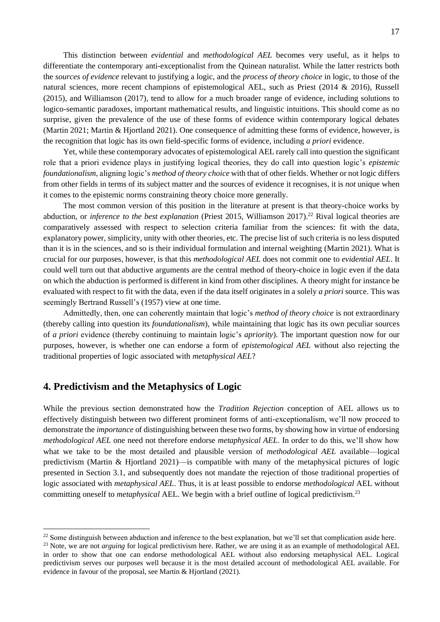This distinction between *evidential* and *methodological AEL* becomes very useful, as it helps to differentiate the contemporary anti-exceptionalist from the Quinean naturalist. While the latter restricts both the *sources of evidence* relevant to justifying a logic, and the *process of theory choice* in logic, to those of the natural sciences, more recent champions of epistemological AEL, such as Priest (2014 & 2016), Russell (2015), and Williamson (2017), tend to allow for a much broader range of evidence, including solutions to logico-semantic paradoxes, important mathematical results, and linguistic intuitions. This should come as no surprise, given the prevalence of the use of these forms of evidence within contemporary logical debates (Martin 2021; Martin & Hjortland 2021). One consequence of admitting these forms of evidence, however, is the recognition that logic has its own field-specific forms of evidence, including *a priori* evidence.

Yet, while these contemporary advocates of epistemological AEL rarely call into question the significant role that a priori evidence plays in justifying logical theories, they do call into question logic's *epistemic foundationalism*, aligning logic's *method of theory choice* with that of other fields. Whether or not logic differs from other fields in terms of its subject matter and the sources of evidence it recognises, it is *not* unique when it comes to the epistemic norms constraining theory choice more generally.

The most common version of this position in the literature at present is that theory-choice works by abduction, or *inference to the best explanation* (Priest 2015, Williamson 2017).<sup>22</sup> Rival logical theories are comparatively assessed with respect to selection criteria familiar from the sciences: fit with the data, explanatory power, simplicity, unity with other theories, etc. The precise list of such criteria is no less disputed than it is in the sciences, and so is their individual formulation and internal weighting (Martin 2021). What is crucial for our purposes, however, is that this *methodological AEL* does not commit one to *evidential AEL*. It could well turn out that abductive arguments are the central method of theory-choice in logic even if the data on which the abduction is performed is different in kind from other disciplines. A theory might for instance be evaluated with respect to fit with the data, even if the data itself originates in a solely *a priori* source. This was seemingly Bertrand Russell's (1957) view at one time.

Admittedly, then, one can coherently maintain that logic's *method of theory choice* is not extraordinary (thereby calling into question its *foundationalism*), while maintaining that logic has its own peculiar sources of *a priori* evidence (thereby continuing to maintain logic's *apriority*). The important question now for our purposes, however, is whether one can endorse a form of *epistemological AEL* without also rejecting the traditional properties of logic associated with *metaphysical AEL*?

### **4. Predictivism and the Metaphysics of Logic**

While the previous section demonstrated how the *Tradition Rejection* conception of AEL allows us to effectively distinguish between two different prominent forms of anti-exceptionalism, we'll now proceed to demonstrate the *importance* of distinguishing between these two forms, by showing how in virtue of endorsing *methodological AEL* one need not therefore endorse *metaphysical AEL*. In order to do this, we'll show how what we take to be the most detailed and plausible version of *methodological AEL* available—logical predictivism (Martin & Hjortland 2021)—is compatible with many of the metaphysical pictures of logic presented in Section 3.1, and subsequently does not mandate the rejection of those traditional properties of logic associated with *metaphysical AEL*. Thus, it is at least possible to endorse *methodological* AEL without committing oneself to *metaphysical* AEL. We begin with a brief outline of logical predictivism.<sup>23</sup>

 $22$  Some distinguish between abduction and inference to the best explanation, but we'll set that complication aside here.

<sup>&</sup>lt;sup>23</sup> Note, we are not *arguing* for logical predictivism here. Rather, we are using it as an example of methodological AEL in order to show that one can endorse methodological AEL without also endorsing metaphysical AEL. Logical predictivism serves our purposes well because it is the most detailed account of methodological AEL available. For evidence in favour of the proposal, see Martin & Hjortland (2021).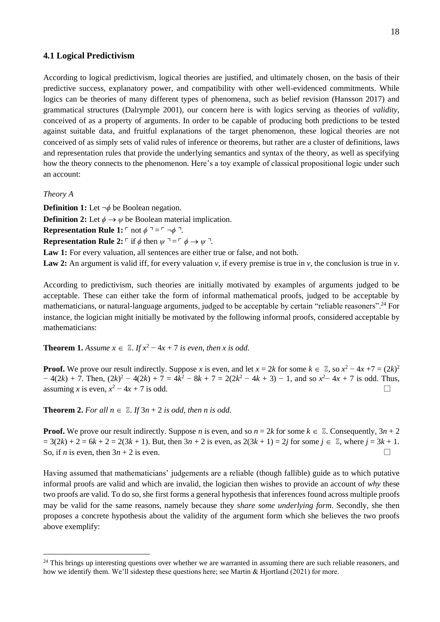#### **4.1 Logical Predictivism**

According to logical predictivism, logical theories are justified, and ultimately chosen, on the basis of their predictive success, explanatory power, and compatibility with other well-evidenced commitments. While logics can be theories of many different types of phenomena, such as belief revision (Hansson 2017) and grammatical structures (Dalrymple 2001), our concern here is with logics serving as theories of *validity*, conceived of as a property of arguments. In order to be capable of producing both predictions to be tested against suitable data, and fruitful explanations of the target phenomenon, these logical theories are not conceived of as simply sets of valid rules of inference or theorems, but rather are a cluster of definitions, laws and representation rules that provide the underlying semantics and syntax of the theory, as well as specifying how the theory connects to the phenomenon. Here's a toy example of classical propositional logic under such an account:

*Theory A*

**Definition 1:** Let  $\neg \phi$  be Boolean negation. **Definition 2:** Let  $\phi \rightarrow \psi$  be Boolean material implication. **Representation Rule 1:**  $\ulcorner$  not  $\phi \urcorner = \ulcorner \neg \phi \urcorner$ . **Representation Rule 2:**  $\ulcorner$  if  $\phi$  then  $\psi \urcorner = \ulcorner \phi \rightarrow \psi \urcorner$ .

**Law 1:** For every valuation, all sentences are either true or false, and not both.

**Law 2:** An argument is valid iff, for every valuation *v*, if every premise is true in *v*, the conclusion is true in *v*.

According to predictivism, such theories are initially motivated by examples of arguments judged to be acceptable. These can either take the form of informal mathematical proofs, judged to be acceptable by mathematicians, or natural-language arguments, judged to be acceptable by certain "reliable reasoners".<sup>24</sup> For instance, the logician might initially be motivated by the following informal proofs, considered acceptable by mathematicians:

**Theorem 1.** *Assume*  $x \in \mathbb{Z}$ . *If*  $x^2 - 4x + 7$  *is even, then* x *is odd.* 

**Proof.** We prove our result indirectly. Suppose *x* is even, and let  $x = 2k$  for some  $k \in \mathbb{Z}$ , so  $x^2 - 4x + 7 = (2k)^2$  $-4(2k) + 7$ . Then,  $(2k)^2 - 4(2k) + 7 = 4k^2 - 8k + 7 = 2(2k^2 - 4k + 3) - 1$ , and so  $x^2 - 4x + 7$  is odd. Thus, assuming *x* is even,  $x^2 - 4x + 7$  is odd.  $\Box$ 

**Theorem 2.** For all  $n \in \mathbb{Z}$ . If  $3n + 2$  is odd, then n is odd.

**Proof.** We prove our result indirectly. Suppose *n* is even, and so  $n = 2k$  for some  $k \in \mathbb{Z}$ . Consequently,  $3n + 2$  $= 3(2k) + 2 = 6k + 2 = 2(3k + 1)$ . But, then  $3n + 2$  is even, as  $2(3k + 1) = 2j$  for some  $j \in \mathbb{Z}$ , where  $j = 3k + 1$ . So, if *n* is even, then  $3n + 2$  is even.  $\Box$ 

Having assumed that mathematicians' judgements are a reliable (though fallible) guide as to which putative informal proofs are valid and which are invalid, the logician then wishes to provide an account of *why* these two proofs are valid. To do so, she first forms a general hypothesis that inferences found across multiple proofs may be valid for the same reasons, namely because they *share some underlying form*. Secondly, she then proposes a concrete hypothesis about the validity of the argument form which she believes the two proofs above exemplify:

 $24$  This brings up interesting questions over whether we are warranted in assuming there are such reliable reasoners, and how we identify them. We'll sidestep these questions here; see Martin & Hjortland (2021) for more.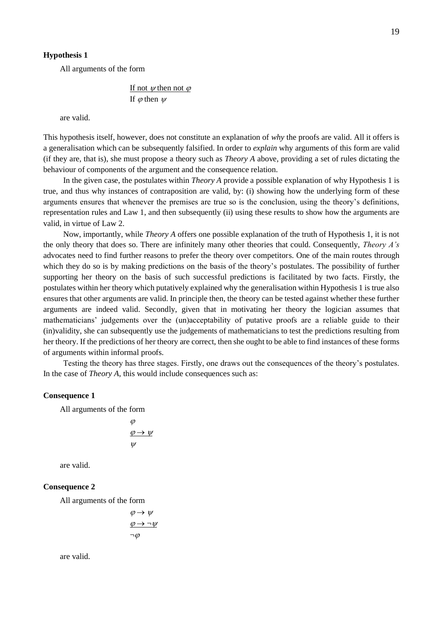#### **Hypothesis 1**

All arguments of the form

If not  $\psi$  then not  $\varphi$ If  $\varphi$  then  $\psi$ 

are valid.

This hypothesis itself, however, does not constitute an explanation of *why* the proofs are valid. All it offers is a generalisation which can be subsequently falsified. In order to *explain* why arguments of this form are valid (if they are, that is), she must propose a theory such as *Theory A* above, providing a set of rules dictating the behaviour of components of the argument and the consequence relation.

In the given case, the postulates within *Theory A* provide a possible explanation of why Hypothesis 1 is true, and thus why instances of contraposition are valid, by: (i) showing how the underlying form of these arguments ensures that whenever the premises are true so is the conclusion, using the theory's definitions, representation rules and Law 1, and then subsequently (ii) using these results to show how the arguments are valid, in virtue of Law 2.

Now, importantly, while *Theory A* offers one possible explanation of the truth of Hypothesis 1, it is not the only theory that does so. There are infinitely many other theories that could. Consequently, *Theory A's*  advocates need to find further reasons to prefer the theory over competitors. One of the main routes through which they do so is by making predictions on the basis of the theory's postulates. The possibility of further supporting her theory on the basis of such successful predictions is facilitated by two facts. Firstly, the postulates within her theory which putatively explained why the generalisation within Hypothesis 1 is true also ensures that other arguments are valid. In principle then, the theory can be tested against whether these further arguments are indeed valid. Secondly, given that in motivating her theory the logician assumes that mathematicians' judgements over the (un)acceptability of putative proofs are a reliable guide to their (in)validity, she can subsequently use the judgements of mathematicians to test the predictions resulting from her theory. If the predictions of her theory are correct, then she ought to be able to find instances of these forms of arguments within informal proofs.

Testing the theory has three stages. Firstly, one draws out the consequences of the theory's postulates. In the case of *Theory A*, this would include consequences such as:

#### **Consequence 1**

All arguments of the form

$$
\varphi
$$
  
\n
$$
\varphi \rightarrow \psi
$$
  
\n
$$
\psi
$$

are valid.

#### **Consequence 2**

All arguments of the form

$$
\varphi \to \psi
$$

$$
\varphi \to \neg \psi
$$

$$
\neg \varphi
$$

are valid.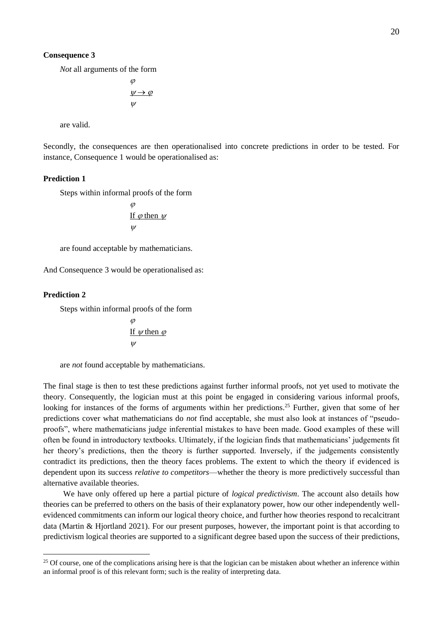#### **Consequence 3**

*Not* all arguments of the form

$$
\varphi
$$
  
\n
$$
\psi \rightarrow \varphi
$$
  
\n
$$
\psi
$$

are valid.

Secondly, the consequences are then operationalised into concrete predictions in order to be tested. For instance, Consequence 1 would be operationalised as:

#### **Prediction 1**

Steps within informal proofs of the form

$$
\frac{\varphi}{\text{If } \varphi \text{ then } \psi}
$$

$$
\psi
$$

are found acceptable by mathematicians.

And Consequence 3 would be operationalised as:

#### **Prediction 2**

Steps within informal proofs of the form

$$
\frac{\varphi}{\text{If } \psi \text{ then } \varphi}
$$

$$
\psi
$$

are *not* found acceptable by mathematicians.

The final stage is then to test these predictions against further informal proofs, not yet used to motivate the theory. Consequently, the logician must at this point be engaged in considering various informal proofs, looking for instances of the forms of arguments within her predictions.<sup>25</sup> Further, given that some of her predictions cover what mathematicians do *not* find acceptable, she must also look at instances of "pseudoproofs", where mathematicians judge inferential mistakes to have been made. Good examples of these will often be found in introductory textbooks. Ultimately, if the logician finds that mathematicians' judgements fit her theory's predictions, then the theory is further supported. Inversely, if the judgements consistently contradict its predictions, then the theory faces problems. The extent to which the theory if evidenced is dependent upon its success *relative to competitors*—whether the theory is more predictively successful than alternative available theories.

We have only offered up here a partial picture of *logical predictivism*. The account also details how theories can be preferred to others on the basis of their explanatory power, how our other independently wellevidenced commitments can inform our logical theory choice, and further how theories respond to recalcitrant data (Martin & Hjortland 2021). For our present purposes, however, the important point is that according to predictivism logical theories are supported to a significant degree based upon the success of their predictions,

 $25$  Of course, one of the complications arising here is that the logician can be mistaken about whether an inference within an informal proof is of this relevant form; such is the reality of interpreting data.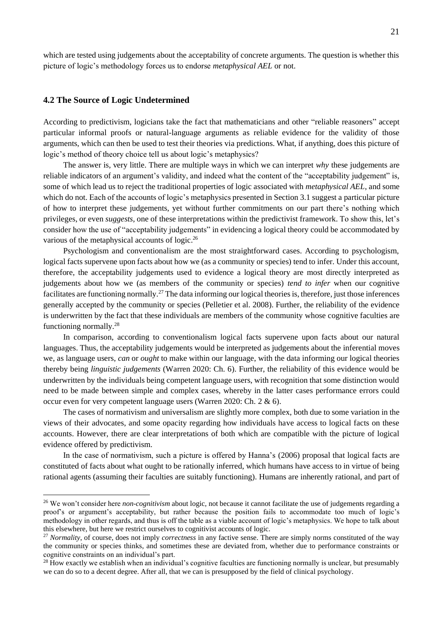which are tested using judgements about the acceptability of concrete arguments. The question is whether this picture of logic's methodology forces us to endorse *metaphysical AEL* or not.

#### **4.2 The Source of Logic Undetermined**

According to predictivism, logicians take the fact that mathematicians and other "reliable reasoners" accept particular informal proofs or natural-language arguments as reliable evidence for the validity of those arguments, which can then be used to test their theories via predictions. What, if anything, does this picture of logic's method of theory choice tell us about logic's metaphysics?

The answer is, very little. There are multiple ways in which we can interpret *why* these judgements are reliable indicators of an argument's validity, and indeed what the content of the "acceptability judgement" is, some of which lead us to reject the traditional properties of logic associated with *metaphysical AEL*, and some which do not. Each of the accounts of logic's metaphysics presented in Section 3.1 suggest a particular picture of how to interpret these judgements, yet without further commitments on our part there's nothing which privileges, or even *suggests*, one of these interpretations within the predictivist framework. To show this, let's consider how the use of "acceptability judgements" in evidencing a logical theory could be accommodated by various of the metaphysical accounts of logic.<sup>26</sup>

Psychologism and conventionalism are the most straightforward cases. According to psychologism, logical facts supervene upon facts about how we (as a community or species) tend to infer. Under this account, therefore, the acceptability judgements used to evidence a logical theory are most directly interpreted as judgements about how we (as members of the community or species) *tend to infer* when our cognitive facilitates are functioning normally.<sup>27</sup> The data informing our logical theories is, therefore, just those inferences generally accepted by the community or species (Pelletier et al. 2008). Further, the reliability of the evidence is underwritten by the fact that these individuals are members of the community whose cognitive faculties are functioning normally.<sup>28</sup>

In comparison, according to conventionalism logical facts supervene upon facts about our natural languages. Thus, the acceptability judgements would be interpreted as judgements about the inferential moves we, as language users, *can* or *ought* to make within our language, with the data informing our logical theories thereby being *linguistic judgements* (Warren 2020: Ch. 6). Further, the reliability of this evidence would be underwritten by the individuals being competent language users, with recognition that some distinction would need to be made between simple and complex cases, whereby in the latter cases performance errors could occur even for very competent language users (Warren 2020: Ch. 2 & 6).

The cases of normativism and universalism are slightly more complex, both due to some variation in the views of their advocates, and some opacity regarding how individuals have access to logical facts on these accounts. However, there are clear interpretations of both which are compatible with the picture of logical evidence offered by predictivism.

In the case of normativism, such a picture is offered by Hanna's (2006) proposal that logical facts are constituted of facts about what ought to be rationally inferred, which humans have access to in virtue of being rational agents (assuming their faculties are suitably functioning). Humans are inherently rational, and part of

<sup>26</sup> We won't consider here *non-cognitivism* about logic, not because it cannot facilitate the use of judgements regarding a proof's or argument's acceptability, but rather because the position fails to accommodate too much of logic's methodology in other regards, and thus is off the table as a viable account of logic's metaphysics. We hope to talk about this elsewhere, but here we restrict ourselves to cognitivist accounts of logic.

<sup>&</sup>lt;sup>27</sup> *Normality*, of course, does not imply *correctness* in any factive sense. There are simply norms constituted of the way the community or species thinks, and sometimes these are deviated from, whether due to performance constraints or cognitive constraints on an individual's part.

 $28$  How exactly we establish when an individual's cognitive faculties are functioning normally is unclear, but presumably we can do so to a decent degree. After all, that we can is presupposed by the field of clinical psychology.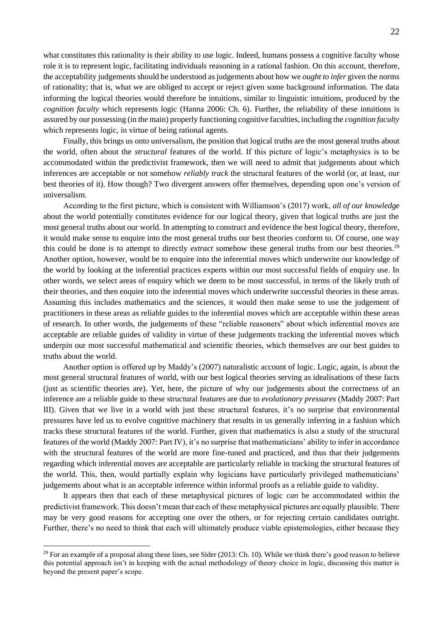what constitutes this rationality is their ability to use logic. Indeed, humans possess a cognitive faculty whose role it is to represent logic, facilitating individuals reasoning in a rational fashion. On this account, therefore, the acceptability judgements should be understood as judgements about how we *ought to infer* given the norms of rationality; that is, what we are obliged to accept or reject given some background information. The data informing the logical theories would therefore be intuitions, similar to linguistic intuitions, produced by the *cognition faculty* which represents logic (Hanna 2006: Ch. 6). Further, the reliability of these intuitions is assured by our possessing (in the main) properly functioning cognitive faculties, including the *cognition faculty* which represents logic, in virtue of being rational agents.

Finally, this brings us onto universalism, the position that logical truths are the most general truths about the world, often about the *structural* features of the world. If this picture of logic's metaphysics is to be accommodated within the predictivist framework, then we will need to admit that judgements about which inferences are acceptable or not somehow *reliably track* the structural features of the world (or, at least, our best theories of it). How though? Two divergent answers offer themselves, depending upon one's version of universalism.

According to the first picture, which is consistent with Williamson's (2017) work, *all of our knowledge*  about the world potentially constitutes evidence for our logical theory, given that logical truths are just the most general truths about our world. In attempting to construct and evidence the best logical theory, therefore, it would make sense to enquire into the most general truths our best theories conform to. Of course, one way this could be done is to attempt to directly *extract* somehow these general truths from our best theories.<sup>29</sup> Another option, however, would be to enquire into the inferential moves which underwrite our knowledge of the world by looking at the inferential practices experts within our most successful fields of enquiry use. In other words, we select areas of enquiry which we deem to be most successful, in terms of the likely truth of their theories, and then enquire into the inferential moves which underwrite successful theories in these areas. Assuming this includes mathematics and the sciences, it would then make sense to use the judgement of practitioners in these areas as reliable guides to the inferential moves which are acceptable within these areas of research. In other words, the judgements of these "reliable reasoners" about which inferential moves are acceptable are reliable guides of validity in virtue of these judgements tracking the inferential moves which underpin our most successful mathematical and scientific theories, which themselves are our best guides to truths about the world.

Another option is offered up by Maddy's (2007) naturalistic account of logic. Logic, again, is about the most general structural features of world, with our best logical theories serving as idealisations of these facts (just as scientific theories are). Yet, here, the picture of why our judgements about the correctness of an inference are a reliable guide to these structural features are due to *evolutionary pressures* (Maddy 2007: Part III). Given that we live in a world with just these structural features, it's no surprise that environmental pressures have led us to evolve cognitive machinery that results in us generally inferring in a fashion which tracks these structural features of the world. Further, given that mathematics is also a study of the structural features of the world (Maddy 2007: Part IV), it's no surprise that mathematicians' ability to infer in accordance with the structural features of the world are more fine-tuned and practiced, and thus that their judgements regarding which inferential moves are acceptable are particularly reliable in tracking the structural features of the world. This, then, would partially explain why logicians have particularly privileged mathematicians' judgements about what is an acceptable inference within informal proofs as a reliable guide to validity.

It appears then that each of these metaphysical pictures of logic *can* be accommodated within the predictivist framework. This doesn't mean that each of these metaphysical pictures are equally plausible. There may be very good reasons for accepting one over the others, or for rejecting certain candidates outright. Further, there's no need to think that each will ultimately produce viable epistemologies, either because they

 $29$  For an example of a proposal along these lines, see Sider (2013: Ch. 10). While we think there's good reason to believe this potential approach isn't in keeping with the actual methodology of theory choice in logic, discussing this matter is beyond the present paper's scope.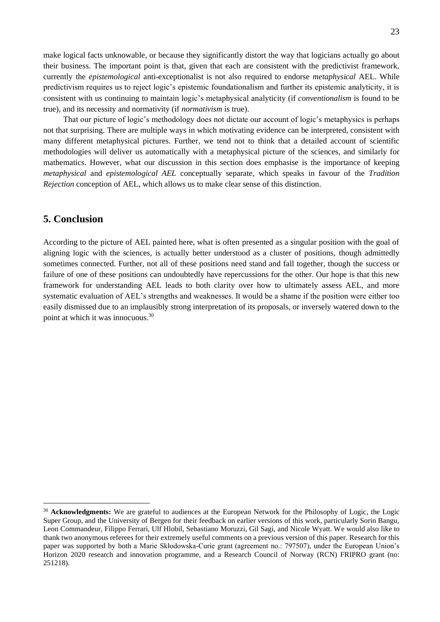make logical facts unknowable, or because they significantly distort the way that logicians actually go about their business. The important point is that, given that each are consistent with the predictivist framework, currently the *epistemological* anti-exceptionalist is not also required to endorse *metaphysical* AEL. While predictivism requires us to reject logic's epistemic foundationalism and further its epistemic analyticity, it is consistent with us continuing to maintain logic's metaphysical analyticity (if *conventionalism* is found to be true), and its necessity and normativity (if *normativism* is true).

That our picture of logic's methodology does not dictate our account of logic's metaphysics is perhaps not that surprising. There are multiple ways in which motivating evidence can be interpreted, consistent with many different metaphysical pictures. Further, we tend not to think that a detailed account of scientific methodologies will deliver us automatically with a metaphysical picture of the sciences, and similarly for mathematics. However, what our discussion in this section does emphasise is the importance of keeping *metaphysical* and *epistemological AEL* conceptually separate, which speaks in favour of the *Tradition Rejection* conception of AEL, which allows us to make clear sense of this distinction.

### **5. Conclusion**

According to the picture of AEL painted here, what is often presented as a singular position with the goal of aligning logic with the sciences, is actually better understood as a cluster of positions, though admittedly sometimes connected. Further, not all of these positions need stand and fall together, though the success or failure of one of these positions can undoubtedly have repercussions for the other. Our hope is that this new framework for understanding AEL leads to both clarity over how to ultimately assess AEL, and more systematic evaluation of AEL's strengths and weaknesses. It would be a shame if the position were either too easily dismissed due to an implausibly strong interpretation of its proposals, or inversely watered down to the point at which it was innocuous.<sup>30</sup>

<sup>&</sup>lt;sup>30</sup> **Acknowledgments:** We are grateful to audiences at the European Network for the Philosophy of Logic, the Logic Super Group, and the University of Bergen for their feedback on earlier versions of this work, particularly Sorin Bangu, Leon Commandeur, Filippo Ferrari, Ulf Hlobil, Sebastiano Moruzzi, Gil Sagi, and Nicole Wyatt. We would also like to thank two anonymous referees for their extremely useful comments on a previous version of this paper. Research for this paper was supported by both a Marie Skłodowska-Curie grant (agreement no.: 797507), under the European Union's Horizon 2020 research and innovation programme, and a Research Council of Norway (RCN) FRIPRO grant (no: 251218).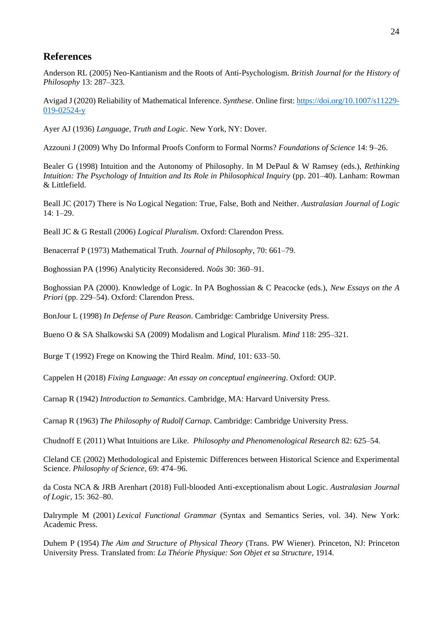### **References**

Anderson RL (2005) Neo-Kantianism and the Roots of Anti-Psychologism. *British Journal for the History of Philosophy* 13: 287–323.

Avigad J (2020) Reliability of Mathematical Inference. *Synthese*. Online first[: https://doi.org/10.1007/s11229-](https://doi.org/10.1007/s11229-019-02524-y) [019-02524-y](https://doi.org/10.1007/s11229-019-02524-y)

Ayer AJ (1936) *Language, Truth and Logic*. New York, NY: Dover.

Azzouni J (2009) Why Do Informal Proofs Conform to Formal Norms? *Foundations of Science* 14: 9–26.

Bealer G (1998) Intuition and the Autonomy of Philosophy. In M DePaul & W Ramsey (eds.), *Rethinking Intuition: The Psychology of Intuition and Its Role in Philosophical Inquiry (pp. 201–40). Lanham: Rowman* & Littlefield.

Beall JC (2017) There is No Logical Negation: True, False, Both and Neither. *Australasian Journal of Logic*  14: 1–29.

Beall JC & G Restall (2006) *Logical Pluralism*. Oxford: Clarendon Press.

Benacerraf P (1973) Mathematical Truth. *Journal of Philosophy*, 70: 661–79.

Boghossian PA (1996) Analyticity Reconsidered. *Noûs* 30: 360–91.

Boghossian PA (2000). Knowledge of Logic. In PA Boghossian & C Peacocke (eds.), *New Essays on the A Priori* (pp. 229–54). Oxford: Clarendon Press.

BonJour L (1998) *In Defense of Pure Reason*. Cambridge: Cambridge University Press.

Bueno O & SA Shalkowski SA (2009) Modalism and Logical Pluralism. *Mind* 118: 295–321.

Burge T (1992) Frege on Knowing the Third Realm. *Mind*, 101: 633–50.

Cappelen H (2018) *Fixing Language: An essay on conceptual engineering*. Oxford: OUP.

Carnap R (1942) *Introduction to Semantics*. Cambridge, MA: Harvard University Press.

Carnap R (1963) *The Philosophy of Rudolf Carnap*. Cambridge: Cambridge University Press.

Chudnoff E (2011) What Intuitions are Like. *Philosophy and Phenomenological Research* 82: 625–54.

Cleland CE (2002) Methodological and Epistemic Differences between Historical Science and Experimental Science. *Philosophy of Science*, 69: 474–96.

da Costa NCA & JRB Arenhart (2018) Full-blooded Anti-exceptionalism about Logic. *Australasian Journal of Logic*, 15: 362–80.

Dalrymple M (2001) *Lexical Functional Grammar* (Syntax and Semantics Series, vol. 34). New York: Academic Press.

Duhem P (1954) *The Aim and Structure of Physical Theory* (Trans. PW Wiener). Princeton, NJ: Princeton University Press. Translated from: *La Théorie Physique: Son Objet et sa Structure*, 1914.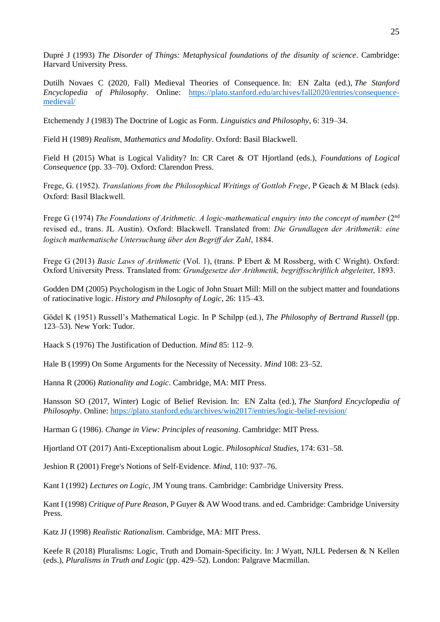Dupré J (1993) *The Disorder of Things: Metaphysical foundations of the disunity of science*. Cambridge: Harvard University Press.

Dutilh Novaes C (2020, Fall) Medieval Theories of Consequence. In: EN Zalta (ed.), *The Stanford Encyclopedia of Philosophy*. Online: [https://plato.stanford.edu/archives/fall2020/entries/consequence](https://plato.stanford.edu/archives/fall2020/entries/consequence-medieval/)[medieval/](https://plato.stanford.edu/archives/fall2020/entries/consequence-medieval/)

Etchemendy J (1983) The Doctrine of Logic as Form. *Linguistics and Philosophy*, 6: 319–34.

Field H (1989) *Realism, Mathematics and Modality*. Oxford: Basil Blackwell.

Field H (2015) What is Logical Validity? In: CR Caret & OT Hjortland (eds.), *Foundations of Logical Consequence* (pp. 33–70). Oxford: Clarendon Press.

Frege, G. (1952). *Translations from the Philosophical Writings of Gottlob Frege*, P Geach & M Black (eds). Oxford: Basil Blackwell.

Frege G (1974) *The Foundations of Arithmetic. A logic-mathematical enquiry into the concept of number* (2nd revised ed., trans. JL Austin). Oxford: Blackwell. Translated from: *Die Grundlagen der Arithmetik: eine logisch mathematische Untersuchung über den Begriff der Zahl*, 1884.

Frege G (2013) *Basic Laws of Arithmetic* (Vol. 1), (trans. P Ebert & M Rossberg, with C Wright). Oxford: Oxford University Press. Translated from: *Grundgesetze der Arithmetik, begriffsschriftlich abgeleitet*, 1893.

Godden DM (2005) Psychologism in the Logic of John Stuart Mill: Mill on the subject matter and foundations of ratiocinative logic. *History and Philosophy of Logic*, 26: 115–43.

Gödel K (1951) Russell's Mathematical Logic. In P Schilpp (ed.), *The Philosophy of Bertrand Russell* (pp. 123–53). New York: Tudor.

Haack S (1976) The Justification of Deduction. *Mind* 85: 112–9.

Hale B (1999) On Some Arguments for the Necessity of Necessity. *Mind* 108: 23–52.

Hanna R (2006) *Rationality and Logic*. Cambridge, MA: MIT Press.

Hansson SO (2017, Winter) Logic of Belief Revision. In: EN Zalta (ed.), *The Stanford Encyclopedia of Philosophy*. Online:<https://plato.stanford.edu/archives/win2017/entries/logic-belief-revision/>

Harman G (1986). *Change in View: Principles of reasoning*. Cambridge: MIT Press.

Hjortland OT (2017) Anti-Exceptionalism about Logic. *Philosophical Studies*, 174: 631–58.

Jeshion R (2001) Frege's Notions of Self-Evidence. *Mind*, 110: 937–76.

Kant I (1992) *Lectures on Logic*, JM Young trans. Cambridge: Cambridge University Press.

Kant I (1998) *Critique of Pure Reason*, P Guyer & AW Wood trans. and ed. Cambridge: Cambridge University Press.

Katz JJ (1998) *Realistic Rationalism*. Cambridge, MA: MIT Press.

Keefe R (2018) Pluralisms: Logic, Truth and Domain-Specificity. In: J Wyatt, NJLL Pedersen & N Kellen (eds.), *Pluralisms in Truth and Logic* (pp. 429–52). London: Palgrave Macmillan.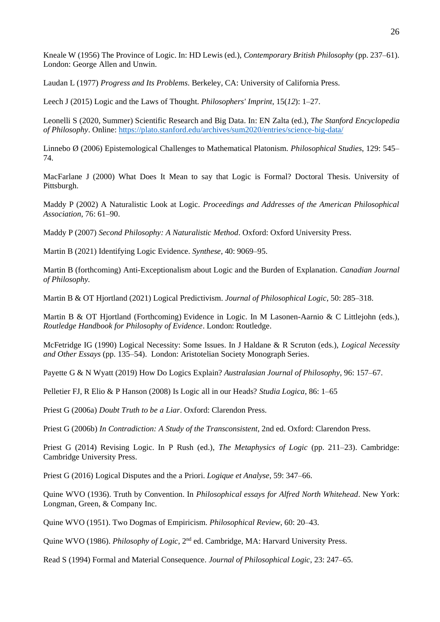Kneale W (1956) The Province of Logic. In: HD Lewis (ed.), *Contemporary British Philosophy* (pp. 237–61). London: George Allen and Unwin.

Laudan L (1977) *Progress and Its Problems*. Berkeley, CA: University of California Press.

Leech J (2015) Logic and the Laws of Thought. *Philosophers' Imprint*, 15(*12*): 1–27.

Leonelli S (2020, Summer) Scientific Research and Big Data. In: EN Zalta (ed.), *The Stanford Encyclopedia of Philosophy*. Online:<https://plato.stanford.edu/archives/sum2020/entries/science-big-data/>

Linnebo Ø (2006) Epistemological Challenges to Mathematical Platonism. *Philosophical Studies*, 129: 545– 74.

MacFarlane J (2000) What Does It Mean to say that Logic is Formal? Doctoral Thesis. University of Pittsburgh.

Maddy P (2002) A Naturalistic Look at Logic. *Proceedings and Addresses of the American Philosophical Association*, 76: 61–90.

Maddy P (2007) *Second Philosophy: A Naturalistic Method*. Oxford: Oxford University Press.

Martin B (2021) Identifying Logic Evidence. *Synthese*, 40: 9069–95.

Martin B (forthcoming) Anti-Exceptionalism about Logic and the Burden of Explanation. *Canadian Journal of Philosophy.*

Martin B & OT Hjortland (2021) Logical Predictivism. *Journal of Philosophical Logic*, 50: 285–318.

Martin B & OT Hjortland (Forthcoming) Evidence in Logic. In M Lasonen-Aarnio & C Littlejohn (eds.), *Routledge Handbook for Philosophy of Evidence*. London: Routledge.

McFetridge IG (1990) Logical Necessity: Some Issues. In J Haldane & R Scruton (eds.), *Logical Necessity and Other Essays* (pp. 135–54). London: Aristotelian Society Monograph Series.

Payette G & N Wyatt (2019) How Do Logics Explain? *Australasian Journal of Philosophy*, 96: 157–67.

Pelletier FJ, R Elio & P Hanson (2008) Is Logic all in our Heads? *Studia Logica*, 86: 1–65

Priest G (2006a) *Doubt Truth to be a Liar*. Oxford: Clarendon Press.

Priest G (2006b) *In Contradiction: A Study of the Transconsistent*, 2nd ed. Oxford: Clarendon Press.

Priest G (2014) Revising Logic. In P Rush (ed.), *The Metaphysics of Logic* (pp. 211–23). Cambridge: Cambridge University Press.

Priest G (2016) Logical Disputes and the a Priori. *Logique et Analyse*, 59: 347–66.

Quine WVO (1936). Truth by Convention. In *Philosophical essays for Alfred North Whitehead*. New York: Longman, Green, & Company Inc.

Quine WVO (1951). Two Dogmas of Empiricism. *Philosophical Review*, 60: 20–43.

Quine WVO (1986). *Philosophy of Logic*, 2nd ed. Cambridge, MA: Harvard University Press.

Read S (1994) Formal and Material Consequence. *Journal of Philosophical Logic*, 23: 247–65.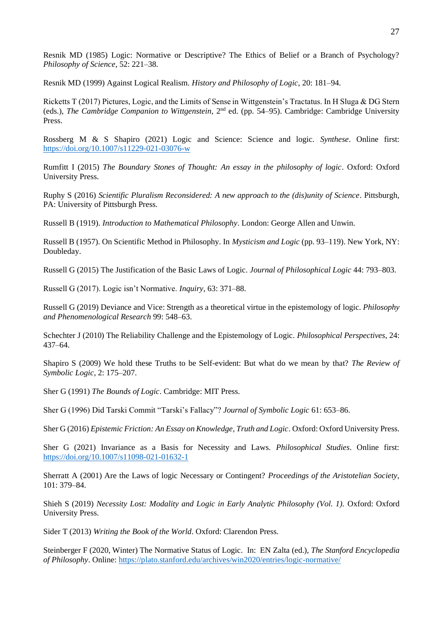Resnik MD (1985) Logic: Normative or Descriptive? The Ethics of Belief or a Branch of Psychology? *Philosophy of Science*, 52: 221–38.

Resnik MD (1999) Against Logical Realism. *History and Philosophy of Logic*, 20: 181–94.

Ricketts T (2017) Pictures, Logic, and the Limits of Sense in Wittgenstein's Tractatus. In H Sluga & DG Stern (eds.), *The Cambridge Companion to Wittgenstein*, 2nd ed. (pp. 54–95). Cambridge: Cambridge University Press.

Rossberg M & S Shapiro (2021) Logic and Science: Science and logic. *Synthese*. Online first: <https://doi.org/10.1007/s11229-021-03076-w>

Rumfitt I (2015) *The Boundary Stones of Thought: An essay in the philosophy of logic*. Oxford: Oxford University Press.

Ruphy S (2016) *Scientific Pluralism Reconsidered: A new approach to the (dis)unity of Science*. Pittsburgh, PA: University of Pittsburgh Press.

Russell B (1919). *Introduction to Mathematical Philosophy*. London: George Allen and Unwin.

Russell B (1957). On Scientific Method in Philosophy. In *Mysticism and Logic* (pp. 93–119). New York, NY: Doubleday.

Russell G (2015) The Justification of the Basic Laws of Logic. *Journal of Philosophical Logic* 44: 793–803.

Russell G (2017). Logic isn't Normative. *Inquiry,* 63: 371–88.

Russell G (2019) Deviance and Vice: Strength as a theoretical virtue in the epistemology of logic. *Philosophy and Phenomenological Research* 99: 548–63.

Schechter J (2010) The Reliability Challenge and the Epistemology of Logic. *Philosophical Perspectives*, 24: 437–64.

Shapiro S (2009) We hold these Truths to be Self-evident: But what do we mean by that? *The Review of Symbolic Logic*, 2: 175–207.

Sher G (1991) *The Bounds of Logic*. Cambridge: MIT Press.

Sher G (1996) Did Tarski Commit "Tarski's Fallacy"? *Journal of Symbolic Logic* 61: 653–86.

Sher G (2016) *Epistemic Friction: An Essay on Knowledge, Truth and Logic*. Oxford: Oxford University Press.

Sher G (2021) Invariance as a Basis for Necessity and Laws. *Philosophical Studies*. Online first: <https://doi.org/10.1007/s11098-021-01632-1>

Sherratt A (2001) Are the Laws of logic Necessary or Contingent? *Proceedings of the Aristotelian Society*, 101: 379–84.

Shieh S (2019) *Necessity Lost: Modality and Logic in Early Analytic Philosophy (Vol. 1)*. Oxford: Oxford University Press.

Sider T (2013) *Writing the Book of the World*. Oxford: Clarendon Press.

Steinberger F (2020, Winter) The Normative Status of Logic. In: EN Zalta (ed.), *The Stanford Encyclopedia of Philosophy*. Online:<https://plato.stanford.edu/archives/win2020/entries/logic-normative/>